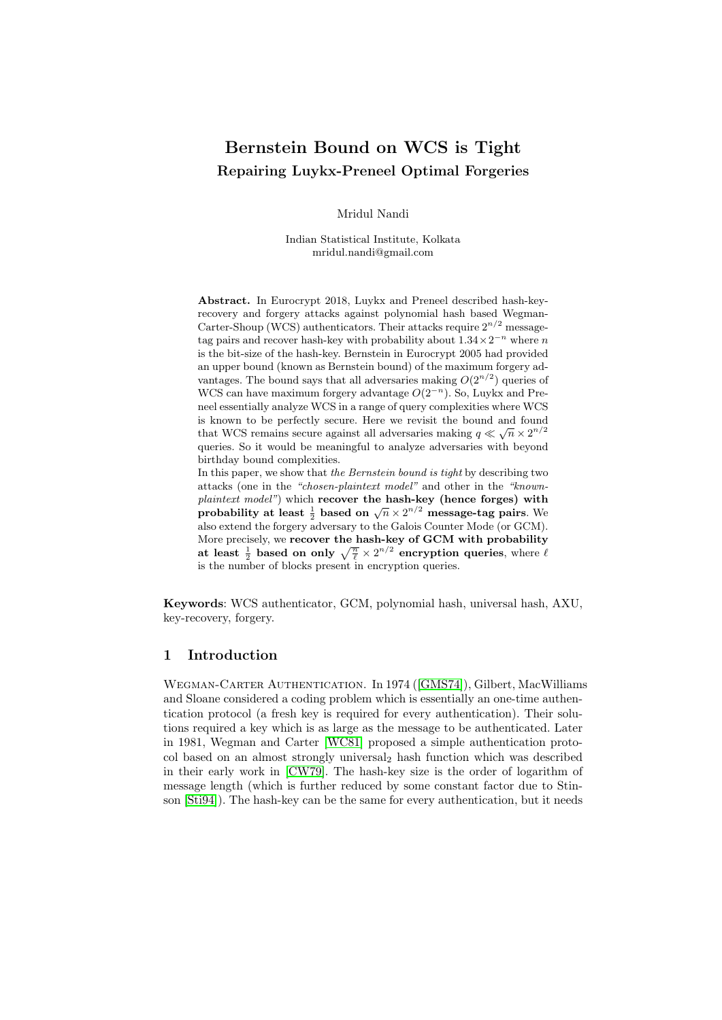# Bernstein Bound on WCS is Tight Repairing Luykx-Preneel Optimal Forgeries

Mridul Nandi

Indian Statistical Institute, Kolkata mridul.nandi@gmail.com

Abstract. In Eurocrypt 2018, Luykx and Preneel described hash-keyrecovery and forgery attacks against polynomial hash based Wegman-Carter-Shoup (WCS) authenticators. Their attacks require  $2^{n/2}$  messagetag pairs and recover hash-key with probability about  $1.34 \times 2^{-n}$  where n is the bit-size of the hash-key. Bernstein in Eurocrypt 2005 had provided an upper bound (known as Bernstein bound) of the maximum forgery advantages. The bound says that all adversaries making  $O(2^{n/2})$  queries of WCS can have maximum forgery advantage  $O(2^{-n})$ . So, Luykx and Preneel essentially analyze WCS in a range of query complexities where WCS is known to be perfectly secure. Here we revisit the bound and found that WCS remains secure against all adversaries making  $q \ll \sqrt{n} \times 2^{n/2}$ queries. So it would be meaningful to analyze adversaries with beyond birthday bound complexities.

In this paper, we show that the Bernstein bound is tight by describing two attacks (one in the "chosen-plaintext model" and other in the "knownplaintext model") which recover the hash-key (hence forges) with praintent model *f* which recover the hash-key (hence lorges) with<br>probability at least  $\frac{1}{2}$  based on  $\sqrt{n} \times 2^{n/2}$  message-tag pairs. We also extend the forgery adversary to the Galois Counter Mode (or GCM). More precisely, we recover the hash-key of GCM with probability at least  $\frac{1}{2}$  based on only  $\sqrt{\frac{n}{\ell}} \times 2^{n/2}$  encryption queries, where  $\ell$ is the number of blocks present in encryption queries.

Keywords: WCS authenticator, GCM, polynomial hash, universal hash, AXU, key-recovery, forgery.

# 1 Introduction

Wegman-Carter Authentication. In 1974 ([\[GMS74\]](#page-23-0)), Gilbert, MacWilliams and Sloane considered a coding problem which is essentially an one-time authentication protocol (a fresh key is required for every authentication). Their solutions required a key which is as large as the message to be authenticated. Later in 1981, Wegman and Carter [\[WC81\]](#page-25-0) proposed a simple authentication protocol based on an almost strongly universal<sup>2</sup> hash function which was described in their early work in [\[CW79\]](#page-23-1). The hash-key size is the order of logarithm of message length (which is further reduced by some constant factor due to Stinson [\[Sti94\]](#page-25-1)). The hash-key can be the same for every authentication, but it needs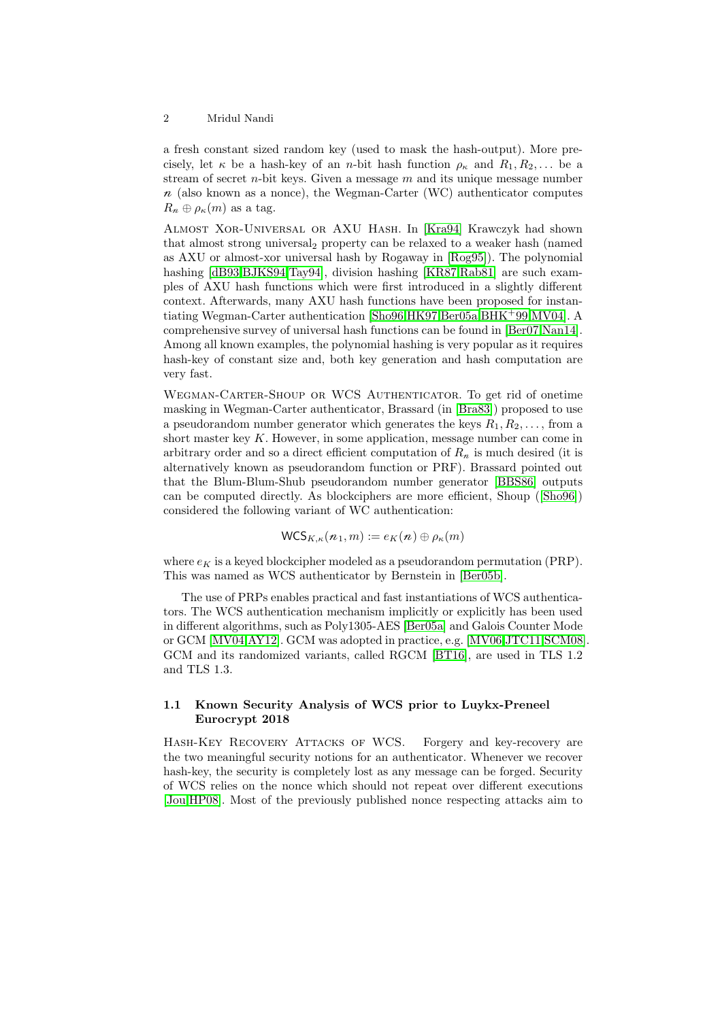a fresh constant sized random key (used to mask the hash-output). More precisely, let  $\kappa$  be a hash-key of an *n*-bit hash function  $\rho_{\kappa}$  and  $R_1, R_2, \ldots$  be a stream of secret  $n$ -bit keys. Given a message  $m$  and its unique message number  $n$  (also known as a nonce), the Wegman-Carter (WC) authenticator computes  $R_n \oplus \rho_{\kappa}(m)$  as a tag.

Almost Xor-Universal or AXU Hash. In [\[Kra94\]](#page-24-0) Krawczyk had shown that almost strong universal<sub>2</sub> property can be relaxed to a weaker hash (named as AXU or almost-xor universal hash by Rogaway in [\[Rog95\]](#page-24-1)). The polynomial hashing [\[dB93](#page-23-2)[,BJKS94](#page-23-3)[,Tay94\]](#page-25-2), division hashing [\[KR87,](#page-24-2)[Rab81\]](#page-24-3) are such examples of AXU hash functions which were first introduced in a slightly different context. Afterwards, many AXU hash functions have been proposed for instantiating Wegman-Carter authentication [\[Sho96,](#page-25-3)[HK97,](#page-24-4)[Ber05a,](#page-23-4)[BHK](#page-23-5)+99[,MV04\]](#page-24-5). A comprehensive survey of universal hash functions can be found in [\[Ber07,](#page-23-6)[Nan14\]](#page-24-6). Among all known examples, the polynomial hashing is very popular as it requires hash-key of constant size and, both key generation and hash computation are very fast.

Wegman-Carter-Shoup or WCS Authenticator. To get rid of onetime masking in Wegman-Carter authenticator, Brassard (in [\[Bra83\]](#page-23-7)) proposed to use a pseudorandom number generator which generates the keys  $R_1, R_2, \ldots$ , from a short master key  $K$ . However, in some application, message number can come in arbitrary order and so a direct efficient computation of  $R_n$  is much desired (it is alternatively known as pseudorandom function or PRF). Brassard pointed out that the Blum-Blum-Shub pseudorandom number generator [\[BBS86\]](#page-23-8) outputs can be computed directly. As blockciphers are more efficient, Shoup ([\[Sho96\]](#page-25-3)) considered the following variant of WC authentication:

$$
\mathsf{WCS}_{K,\kappa}(n_1,m) := e_K(n) \oplus \rho_\kappa(m)
$$

where  $e_K$  is a keyed blockcipher modeled as a pseudorandom permutation (PRP). This was named as WCS authenticator by Bernstein in [\[Ber05b\]](#page-23-9).

The use of PRPs enables practical and fast instantiations of WCS authenticators. The WCS authentication mechanism implicitly or explicitly has been used in different algorithms, such as Poly1305-AES [\[Ber05a\]](#page-23-4) and Galois Counter Mode or GCM [\[MV04,](#page-24-5)[AY12\]](#page-23-10). GCM was adopted in practice, e.g. [\[MV06,](#page-24-7)[JTC11,](#page-24-8)[SCM08\]](#page-24-9). GCM and its randomized variants, called RGCM [\[BT16\]](#page-23-11), are used in TLS 1.2 and TLS 1.3.

# 1.1 Known Security Analysis of WCS prior to Luykx-Preneel Eurocrypt 2018

Hash-Key Recovery Attacks of WCS. Forgery and key-recovery are the two meaningful security notions for an authenticator. Whenever we recover hash-key, the security is completely lost as any message can be forged. Security of WCS relies on the nonce which should not repeat over different executions [\[Jou](#page-24-10)[,HP08\]](#page-24-11). Most of the previously published nonce respecting attacks aim to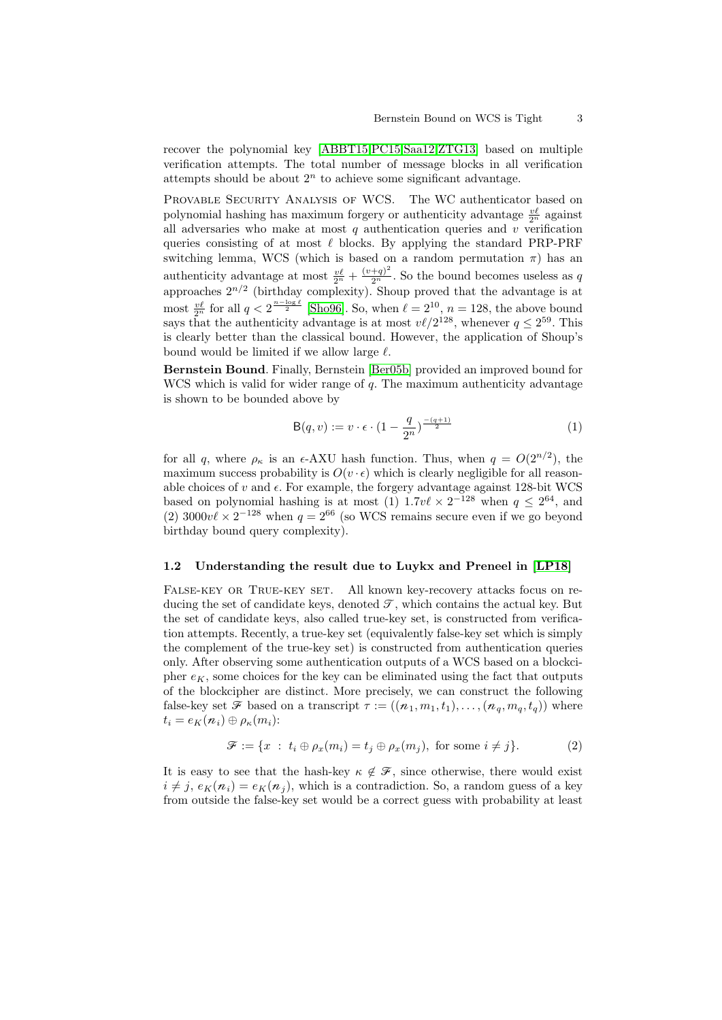recover the polynomial key [\[ABBT15,](#page-23-12)[PC15,](#page-24-12)[Saa12](#page-24-13)[,ZTG13\]](#page-25-4) based on multiple verification attempts. The total number of message blocks in all verification attempts should be about  $2<sup>n</sup>$  to achieve some significant advantage.

PROVABLE SECURITY ANALYSIS OF WCS. The WC authenticator based on polynomial hashing has maximum forgery or authenticity advantage  $\frac{v\ell}{2^n}$  against all adversaries who make at most  $q$  authentication queries and  $v$  verification queries consisting of at most  $\ell$  blocks. By applying the standard PRP-PRF switching lemma, WCS (which is based on a random permutation  $\pi$ ) has an authenticity advantage at most  $\frac{v\ell}{2^n} + \frac{(v+q)^2}{2^n}$ . So the bound becomes useless as q approaches  $2^{n/2}$  (birthday complexity). Shoup proved that the advantage is at most  $\frac{v\ell}{2^n}$  for all  $q < 2^{\frac{n-\log \ell}{2}}$  [\[Sho96\]](#page-25-3). So, when  $\ell = 2^{10}$ ,  $n = 128$ , the above bound says that the authenticity advantage is at most  $v\ell/2^{128}$ , whenever  $q \leq 2^{59}$ . This is clearly better than the classical bound. However, the application of Shoup's bound would be limited if we allow large  $\ell$ .

Bernstein Bound. Finally, Bernstein [\[Ber05b\]](#page-23-9) provided an improved bound for WCS which is valid for wider range of  $q$ . The maximum authenticity advantage is shown to be bounded above by

$$
\mathsf{B}(q,v) := v \cdot \epsilon \cdot \left(1 - \frac{q}{2^n}\right)^{\frac{-(q+1)}{2}}\tag{1}
$$

for all q, where  $\rho_{\kappa}$  is an  $\epsilon$ -AXU hash function. Thus, when  $q = O(2^{n/2})$ , the maximum success probability is  $O(v \cdot \epsilon)$  which is clearly negligible for all reasonable choices of  $v$  and  $\epsilon$ . For example, the forgery advantage against 128-bit WCS based on polynomial hashing is at most (1)  $1.7v\ell \times 2^{-128}$  when  $q \leq 2^{64}$ , and (2)  $3000v\ell \times 2^{-128}$  when  $q = 2^{66}$  (so WCS remains secure even if we go beyond birthday bound query complexity).

#### 1.2 Understanding the result due to Luykx and Preneel in [\[LP18\]](#page-24-14)

FALSE-KEY OR TRUE-KEY SET. All known key-recovery attacks focus on reducing the set of candidate keys, denoted  $\mathcal{T}$ , which contains the actual key. But the set of candidate keys, also called true-key set, is constructed from verification attempts. Recently, a true-key set (equivalently false-key set which is simply the complement of the true-key set) is constructed from authentication queries only. After observing some authentication outputs of a WCS based on a blockcipher  $e_K$ , some choices for the key can be eliminated using the fact that outputs of the blockcipher are distinct. More precisely, we can construct the following false-key set  $\mathcal F$  based on a transcript  $\tau := ((n_1, m_1, t_1), \ldots, (n_q, m_q, t_q))$  where  $t_i = e_K(n_i) \oplus \rho_K(m_i)$ :

$$
\mathcal{F} := \{x : t_i \oplus \rho_x(m_i) = t_j \oplus \rho_x(m_j), \text{ for some } i \neq j\}.
$$
 (2)

It is easy to see that the hash-key  $\kappa \notin \mathcal{F}$ , since otherwise, there would exist  $i \neq j$ ,  $e_K(n_i) = e_K(n_j)$ , which is a contradiction. So, a random guess of a key from outside the false-key set would be a correct guess with probability at least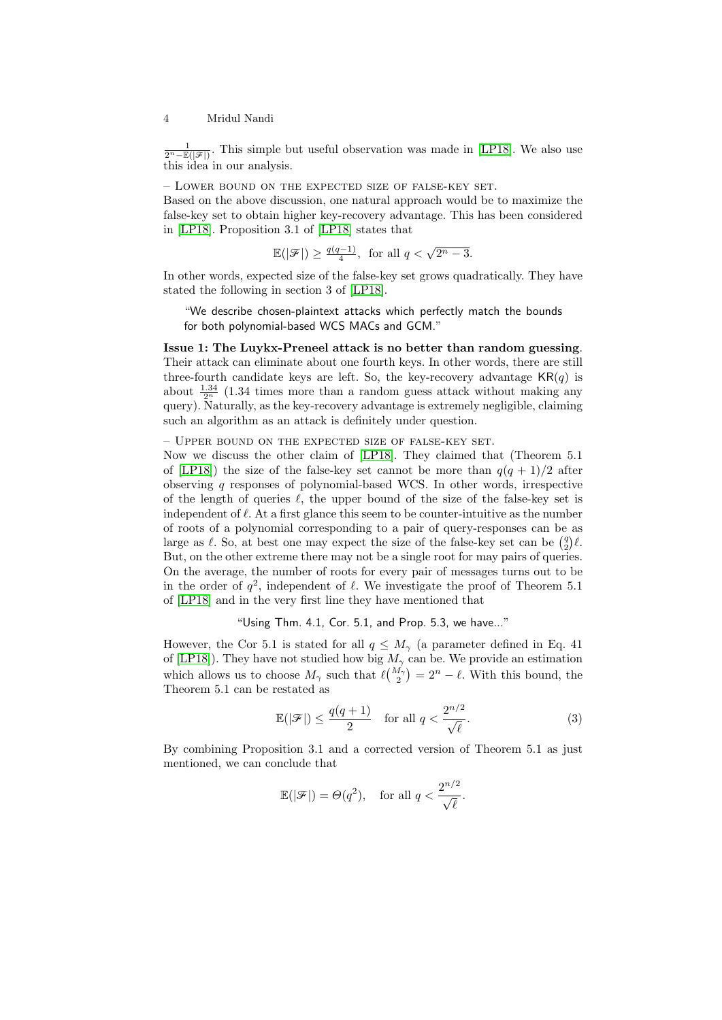$\frac{1}{2^{n}-\mathbb{E}(|\mathcal{F}|)}$ . This simple but useful observation was made in [\[LP18\]](#page-24-14). We also use this idea in our analysis.

– Lower bound on the expected size of false-key set.

Based on the above discussion, one natural approach would be to maximize the false-key set to obtain higher key-recovery advantage. This has been considered in [\[LP18\]](#page-24-14). Proposition 3.1 of [\[LP18\]](#page-24-14) states that

$$
\mathbb{E}(|\mathcal{F}|) \ge \frac{q(q-1)}{4}, \text{ for all } q < \sqrt{2^n - 3}.
$$

In other words, expected size of the false-key set grows quadratically. They have stated the following in section 3 of [\[LP18\]](#page-24-14).

"We describe chosen-plaintext attacks which perfectly match the bounds for both polynomial-based WCS MACs and GCM."

Issue 1: The Luykx-Preneel attack is no better than random guessing. Their attack can eliminate about one fourth keys. In other words, there are still three-fourth candidate keys are left. So, the key-recovery advantage  $KR(q)$  is about  $\frac{1.34}{2^n}$  (1.34 times more than a random guess attack without making any query). Naturally, as the key-recovery advantage is extremely negligible, claiming such an algorithm as an attack is definitely under question.

– Upper bound on the expected size of false-key set.

Now we discuss the other claim of [\[LP18\]](#page-24-14). They claimed that (Theorem 5.1 of [\[LP18\]](#page-24-14)) the size of the false-key set cannot be more than  $q(q + 1)/2$  after observing q responses of polynomial-based WCS. In other words, irrespective of the length of queries  $\ell$ , the upper bound of the size of the false-key set is independent of  $\ell$ . At a first glance this seem to be counter-intuitive as the number of roots of a polynomial corresponding to a pair of query-responses can be as large as  $\ell$ . So, at best one may expect the size of the false-key set can be  $\binom{q}{2}\ell$ . But, on the other extreme there may not be a single root for may pairs of queries. On the average, the number of roots for every pair of messages turns out to be in the order of  $q^2$ , independent of  $\ell$ . We investigate the proof of Theorem 5.1 of [\[LP18\]](#page-24-14) and in the very first line they have mentioned that

"Using Thm. 4.1, Cor. 5.1, and Prop. 5.3, we have..."

However, the Cor 5.1 is stated for all  $q \leq M_{\gamma}$  (a parameter defined in Eq. 41) of [\[LP18\]](#page-24-14)). They have not studied how big  $M_{\gamma}$  can be. We provide an estimation which allows us to choose  $M_{\gamma}$  such that  $\ell {M_{\gamma} \choose 2} = 2^{n} - \ell$ . With this bound, the Theorem 5.1 can be restated as

$$
\mathbb{E}(|\mathcal{F}|) \le \frac{q(q+1)}{2} \quad \text{for all } q < \frac{2^{n/2}}{\sqrt{\ell}}.\tag{3}
$$

By combining Proposition 3.1 and a corrected version of Theorem 5.1 as just mentioned, we can conclude that

$$
\mathbb{E}(|\mathcal{F}|) = \Theta(q^2), \quad \text{for all } q < \frac{2^{n/2}}{\sqrt{\ell}}.
$$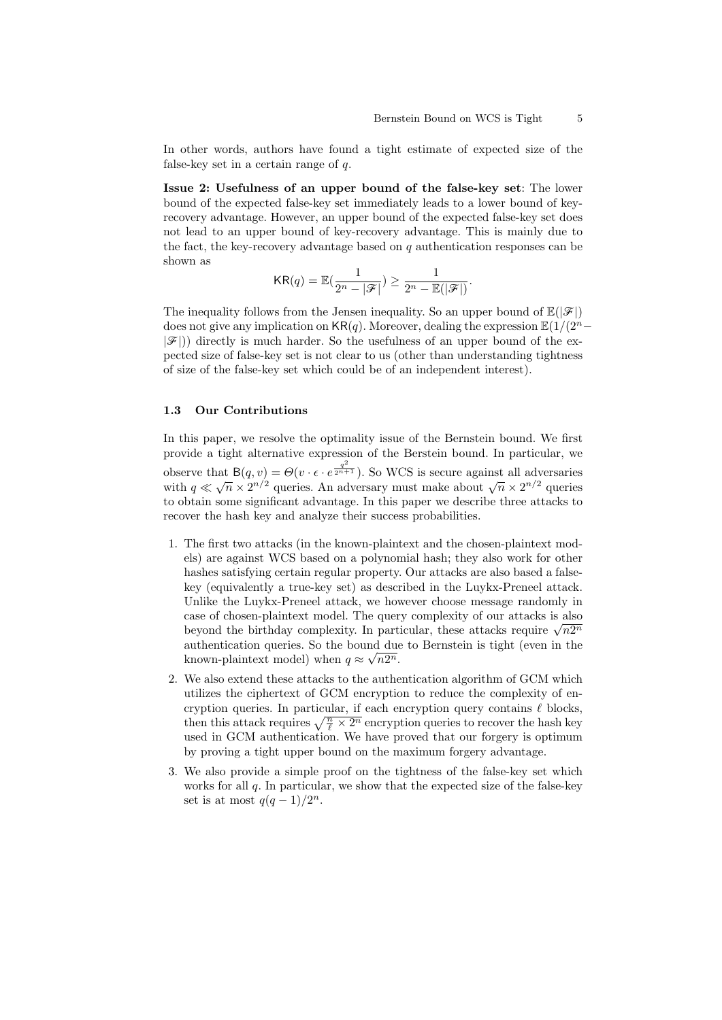In other words, authors have found a tight estimate of expected size of the false-key set in a certain range of  $q$ .

Issue 2: Usefulness of an upper bound of the false-key set: The lower bound of the expected false-key set immediately leads to a lower bound of keyrecovery advantage. However, an upper bound of the expected false-key set does not lead to an upper bound of key-recovery advantage. This is mainly due to the fact, the key-recovery advantage based on  $q$  authentication responses can be shown as

$$
KR(q) = \mathbb{E}(\frac{1}{2^n - |\mathcal{F}|}) \ge \frac{1}{2^n - \mathbb{E}(|\mathcal{F}|)}.
$$

The inequality follows from the Jensen inequality. So an upper bound of  $\mathbb{E}(|\mathcal{F}|)$ does not give any implication on KR(q). Moreover, dealing the expression  $\mathbb{E}(1/(2^n |\mathscr{F}|$ ) directly is much harder. So the usefulness of an upper bound of the expected size of false-key set is not clear to us (other than understanding tightness of size of the false-key set which could be of an independent interest).

#### 1.3 Our Contributions

In this paper, we resolve the optimality issue of the Bernstein bound. We first provide a tight alternative expression of the Berstein bound. In particular, we observe that  $B(q, v) = \Theta(v \cdot \epsilon \cdot e^{\frac{q^2}{2^{n+1}}})$ . So WCS is secure against all adversaries with  $q \ll \sqrt{n} \times 2^{n/2}$  queries. An adversary must make about  $\sqrt{n} \times 2^{n/2}$  queries to obtain some significant advantage. In this paper we describe three attacks to recover the hash key and analyze their success probabilities.

- 1. The first two attacks (in the known-plaintext and the chosen-plaintext models) are against WCS based on a polynomial hash; they also work for other hashes satisfying certain regular property. Our attacks are also based a falsekey (equivalently a true-key set) as described in the Luykx-Preneel attack. Unlike the Luykx-Preneel attack, we however choose message randomly in case of chosen-plaintext model. The query complexity of our attacks is also case or chosen-plaintext model. The query complexity or our attacks is also<br>beyond the birthday complexity. In particular, these attacks require  $\sqrt{n2^n}$ authentication queries. So the bound due to Bernstein is tight (even in the known-plaintext model) when  $q \approx \sqrt{n2^n}$ .
- 2. We also extend these attacks to the authentication algorithm of GCM which utilizes the ciphertext of GCM encryption to reduce the complexity of encryption queries. In particular, if each encryption query contains  $\ell$  blocks, then this attack requires  $\sqrt{\frac{n}{\ell} \times 2^n}$  encryption queries to recover the hash key used in GCM authentication. We have proved that our forgery is optimum by proving a tight upper bound on the maximum forgery advantage.
- 3. We also provide a simple proof on the tightness of the false-key set which works for all  $q$ . In particular, we show that the expected size of the false-key set is at most  $q(q-1)/2^n$ .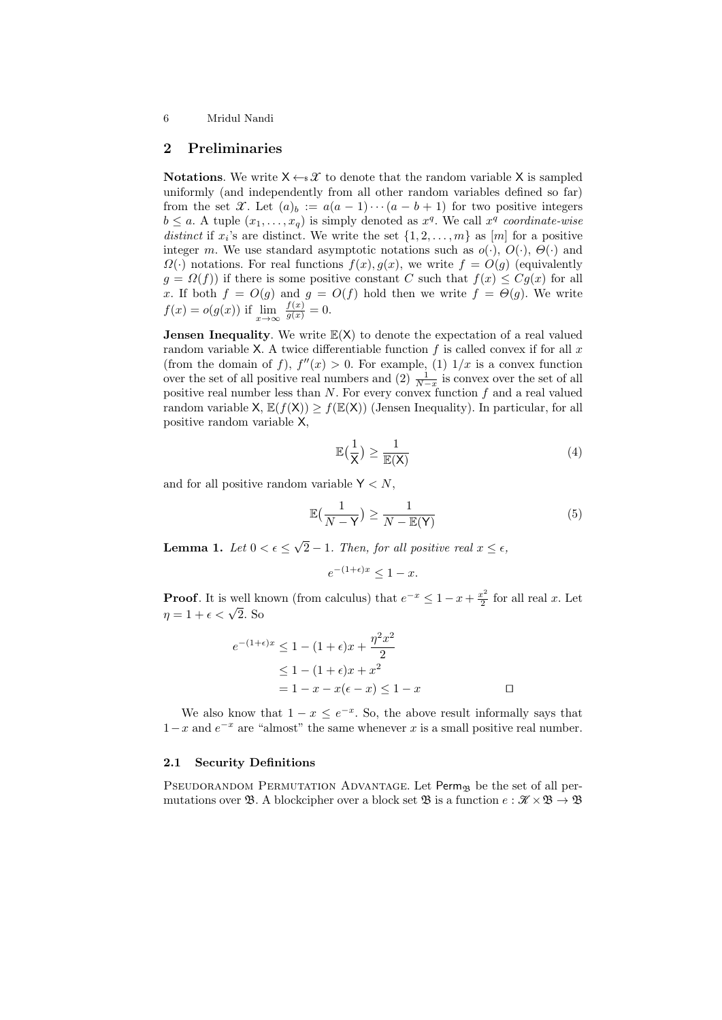# 2 Preliminaries

**Notations.** We write  $X \leftarrow \mathcal{X}$  to denote that the random variable X is sampled uniformly (and independently from all other random variables defined so far) from the set X. Let  $(a)_b := a(a-1)\cdots(a-b+1)$  for two positive integers  $b \le a$ . A tuple  $(x_1, \ldots, x_q)$  is simply denoted as  $x^q$ . We call  $x^q$  coordinate-wise distinct if  $x_i$ 's are distinct. We write the set  $\{1, 2, \ldots, m\}$  as  $[m]$  for a positive integer m. We use standard asymptotic notations such as  $o(\cdot)$ ,  $O(\cdot)$ ,  $\Theta(\cdot)$  and  $\Omega(\cdot)$  notations. For real functions  $f(x), g(x)$ , we write  $f = O(g)$  (equivalently  $g = \Omega(f)$  if there is some positive constant C such that  $f(x) \leq Cg(x)$  for all x. If both  $f = O(g)$  and  $g = O(f)$  hold then we write  $f = \Theta(g)$ . We write  $f(x) = o(g(x))$  if  $\lim_{x \to \infty} \frac{f(x)}{g(x)} = 0.$ 

**Jensen Inequality**. We write  $E(X)$  to denote the expectation of a real valued random variable X. A twice differentiable function  $f$  is called convex if for all  $x$ (from the domain of f),  $f''(x) > 0$ . For example, (1)  $1/x$  is a convex function over the set of all positive real numbers and  $(2)$   $\frac{1}{N-x}$  is convex over the set of all positive real number less than  $N$ . For every convex function  $f$  and a real valued random variable  $X, \mathbb{E}(f(X)) > f(\mathbb{E}(X))$  (Jensen Inequality). In particular, for all positive random variable X,

$$
\mathbb{E}\left(\frac{1}{\mathsf{X}}\right) \ge \frac{1}{\mathbb{E}(\mathsf{X})} \tag{4}
$$

and for all positive random variable  $Y \leq N$ ,

$$
\mathbb{E}\left(\frac{1}{N-\mathsf{Y}}\right) \ge \frac{1}{N-\mathbb{E}(\mathsf{Y})}\tag{5}
$$

<span id="page-5-0"></span>Lemma 1. Let  $0 < \epsilon \leq$ √ 2 – 1. Then, for all positive real  $x \leq \epsilon$ ,

$$
e^{-(1+\epsilon)x} \le 1 - x.
$$

**Proof.** It is well known (from calculus) that  $e^{-x} \leq 1 - x + \frac{x^2}{2}$  $\frac{x^2}{2}$  for all real x. Let **T 1001**. It is went ki<br> $\eta = 1 + \epsilon < \sqrt{2}$ . So

$$
e^{-(1+\epsilon)x} \le 1 - (1+\epsilon)x + \frac{\eta^2 x^2}{2}
$$

$$
\le 1 - (1+\epsilon)x + x^2
$$

$$
= 1 - x - x(\epsilon - x) \le 1 - x \qquad \Box
$$

We also know that  $1 - x \le e^{-x}$ . So, the above result informally says that  $1-x$  and  $e^{-x}$  are "almost" the same whenever x is a small positive real number.

# 2.1 Security Definitions

PSEUDORANDOM PERMUTATION ADVANTAGE. Let  $\text{Perm}_{\mathfrak{B}}$  be the set of all permutations over  $\mathfrak{B}$ . A blockcipher over a block set  $\mathfrak{B}$  is a function  $e : \mathcal{K} \times \mathcal{B} \to \mathcal{B}$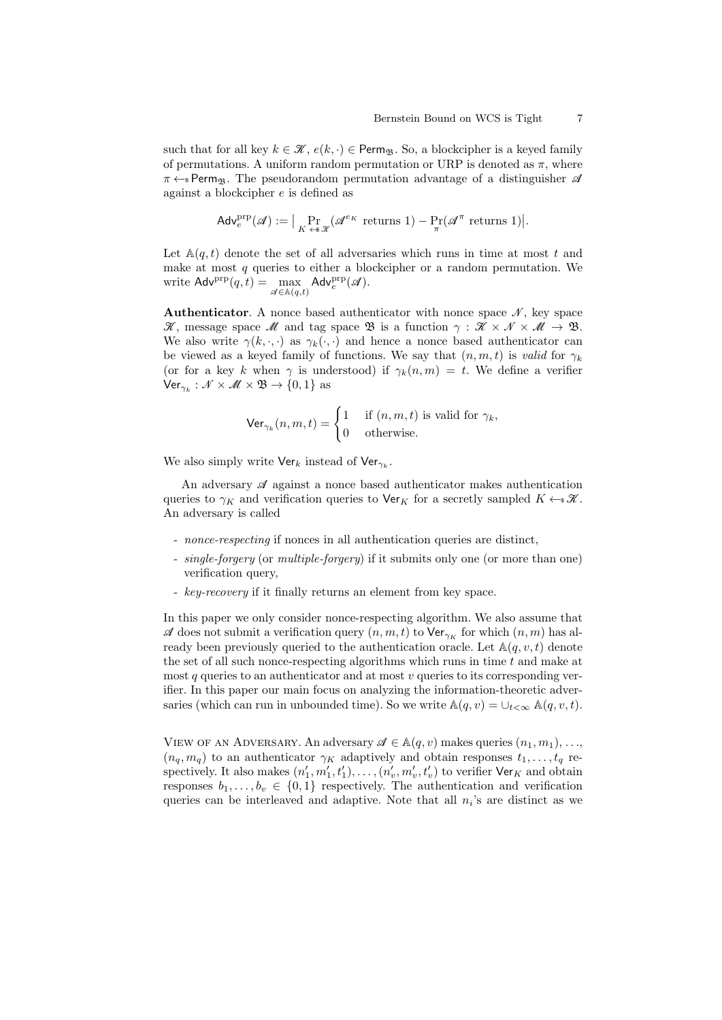such that for all key  $k \in \mathcal{K}$ ,  $e(k, \cdot) \in \text{Perm}_{\mathfrak{B}}$ . So, a blockcipher is a keyed family of permutations. A uniform random permutation or URP is denoted as  $\pi$ , where  $\pi \leftarrow s$  Perm<sub>B</sub>. The pseudorandom permutation advantage of a distinguisher  $\mathscr A$ against a blockcipher e is defined as

$$
\mathsf{Adv}^{\text{prp}}_e(\mathscr{A}) := \big| \Pr_{K \to \infty} (\mathscr{A}^{e_K} \text{ returns } 1) - \Pr_{\pi} (\mathscr{A}^{\pi} \text{ returns } 1) \big|.
$$

Let  $\mathbb{A}(q,t)$  denote the set of all adversaries which runs in time at most t and make at most  $q$  queries to either a blockcipher or a random permutation. We write  $\mathsf{Adv}^{\text{prp}}(q, t) = \max_{\mathscr{A} \in \mathbb{A}(q, t)} \mathsf{Adv}^{\text{prp}}_{e}(\mathscr{A}).$ 

**Authenticator.** A nonce based authenticator with nonce space  $\mathcal{N}$ , key space  $\mathscr{K}$ , message space  $\mathscr{M}$  and tag space  $\mathscr{B}$  is a function  $\gamma : \mathscr{K} \times \mathscr{N} \times \mathscr{M} \to \mathscr{B}$ . We also write  $\gamma(k, \cdot, \cdot)$  as  $\gamma_k(\cdot, \cdot)$  and hence a nonce based authenticator can be viewed as a keyed family of functions. We say that  $(n, m, t)$  is valid for  $\gamma_k$ (or for a key k when  $\gamma$  is understood) if  $\gamma_k(n,m) = t$ . We define a verifier  $\textsf{Ver}_{\gamma_k}: \mathscr{N} \times \mathscr{M} \times \mathfrak{B} \rightarrow \{0,1\}$  as

$$
\operatorname{Ver}_{\gamma_k}(n, m, t) = \begin{cases} 1 & \text{if } (n, m, t) \text{ is valid for } \gamma_k, \\ 0 & \text{otherwise.} \end{cases}
$$

We also simply write  $\mathsf{Ver}_k$  instead of  $\mathsf{Ver}_{\gamma_k}$ .

An adversary  $\mathscr A$  against a nonce based authenticator makes authentication queries to  $\gamma_K$  and verification queries to Ver<sub>K</sub> for a secretly sampled  $K \leftarrow \mathcal{K}$ . An adversary is called

- *nonce-respecting* if nonces in all authentication queries are distinct,
- *single-forgery* (or *multiple-forgery*) if it submits only one (or more than one) verification query,
- key-recovery if it finally returns an element from key space.

In this paper we only consider nonce-respecting algorithm. We also assume that A does not submit a verification query  $(n, m, t)$  to  $\mathsf{Ver}_{\gamma_K}$  for which  $(n, m)$  has already been previously queried to the authentication oracle. Let  $\mathbb{A}(q, v, t)$  denote the set of all such nonce-respecting algorithms which runs in time  $t$  and make at most q queries to an authenticator and at most  $v$  queries to its corresponding verifier. In this paper our main focus on analyzing the information-theoretic adversaries (which can run in unbounded time). So we write  $\mathbb{A}(q, v) = \bigcup_{t < \infty} \mathbb{A}(q, v, t)$ .

VIEW OF AN ADVERSARY. An adversary  $\mathscr{A} \in \mathbb{A}(q, v)$  makes queries  $(n_1, m_1), \ldots,$  $(n_q, m_q)$  to an authenticator  $\gamma_K$  adaptively and obtain responses  $t_1, \ldots, t_q$  respectively. It also makes  $(n'_1, m'_1, t'_1), \ldots, (n'_v, m'_v, t'_v)$  to verifier  $\mathsf{Ver}_K$  and obtain responses  $b_1, \ldots, b_v \in \{0,1\}$  respectively. The authentication and verification queries can be interleaved and adaptive. Note that all  $n_i$ 's are distinct as we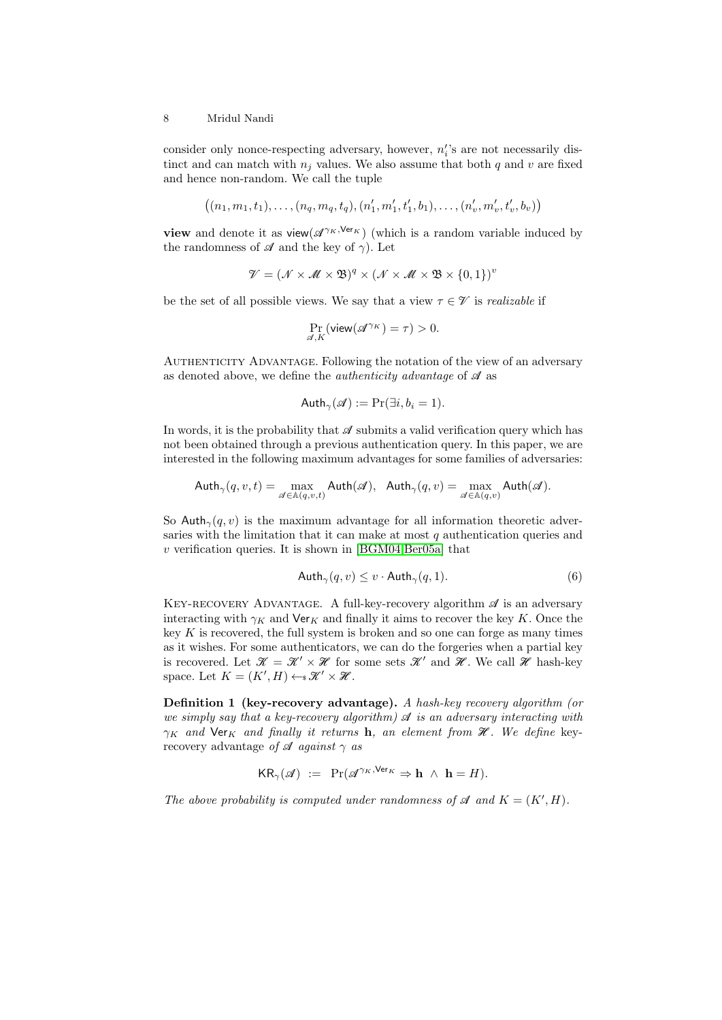consider only nonce-respecting adversary, however,  $n_i$ 's are not necessarily distinct and can match with  $n_i$  values. We also assume that both q and v are fixed and hence non-random. We call the tuple

$$
((n_1, m_1, t_1), \ldots, (n_q, m_q, t_q), (n'_1, m'_1, t'_1, b_1), \ldots, (n'_v, m'_v, t'_v, b_v))
$$

view and denote it as view( $\mathscr{A}^{\gamma_K,\mathrm{Ver}_K}$ ) (which is a random variable induced by the randomness of  $\mathscr A$  and the key of  $\gamma$ ). Let

$$
\mathcal{V} = (\mathcal{N} \times \mathcal{M} \times \mathfrak{B})^q \times (\mathcal{N} \times \mathcal{M} \times \mathfrak{B} \times \{0,1\})^v
$$

be the set of all possible views. We say that a view  $\tau \in \mathcal{V}$  is *realizable* if

$$
\Pr_{\mathscr{A},K}(\mathsf{view}(\mathscr{A}^{\gamma_K})=\tau)>0.
$$

AUTHENTICITY ADVANTAGE. Following the notation of the view of an adversary as denoted above, we define the *authenticity advantage* of  $\mathcal A$  as

$$
With_{\gamma}(\mathscr{A}) := \Pr(\exists i, b_i = 1).
$$

In words, it is the probability that  $\mathscr A$  submits a valid verification query which has not been obtained through a previous authentication query. In this paper, we are interested in the following maximum advantages for some families of adversaries:

$$
\mathsf{Auth}_{\gamma}(q,v,t) = \max_{\mathscr{A} \in \mathbb{A}(q,v,t)} \mathsf{Auth}(\mathscr{A}), \ \ \mathsf{Auth}_{\gamma}(q,v) = \max_{\mathscr{A} \in \mathbb{A}(q,v)} \mathsf{Auth}(\mathscr{A}).
$$

So Auth<sub> $\gamma$ </sub>(q, v) is the maximum advantage for all information theoretic adversaries with the limitation that it can make at most  $q$  authentication queries and  $v$  verification queries. It is shown in [\[BGM04](#page-23-13)[,Ber05a\]](#page-23-4) that

$$
With_{\gamma}(q, v) \le v \cdot \text{Auth}_{\gamma}(q, 1). \tag{6}
$$

KEY-RECOVERY ADVANTAGE. A full-key-recovery algorithm  $\mathscr A$  is an adversary interacting with  $\gamma_K$  and Ver<sub>K</sub> and finally it aims to recover the key K. Once the key  $K$  is recovered, the full system is broken and so one can forge as many times as it wishes. For some authenticators, we can do the forgeries when a partial key is recovered. Let  $\mathcal{K} = \mathcal{K}' \times \mathcal{H}$  for some sets  $\mathcal{K}'$  and  $\mathcal{H}$ . We call  $\mathcal{H}$  hash-key space. Let  $K = (K', H) \leftarrow \mathcal{K}' \times \mathcal{H}$ .

Definition 1 (key-recovery advantage). A hash-key recovery algorithm (or we simply say that a key-recovery algorithm)  $\mathcal A$  is an adversary interacting with  $\gamma_K$  and Ver<sub>K</sub> and finally it returns h, an element from  $\mathcal{H}$ . We define keyrecovery advantage of  $\mathscr A$  against  $\gamma$  as

$$
KR_{\gamma}(\mathscr{A}) \ := \ \Pr(\mathscr{A}^{\gamma_K, \text{Ver}_K} \Rightarrow \mathbf{h} \ \wedge \ \mathbf{h} = H).
$$

The above probability is computed under randomness of  $\mathcal A$  and  $K = (K', H)$ .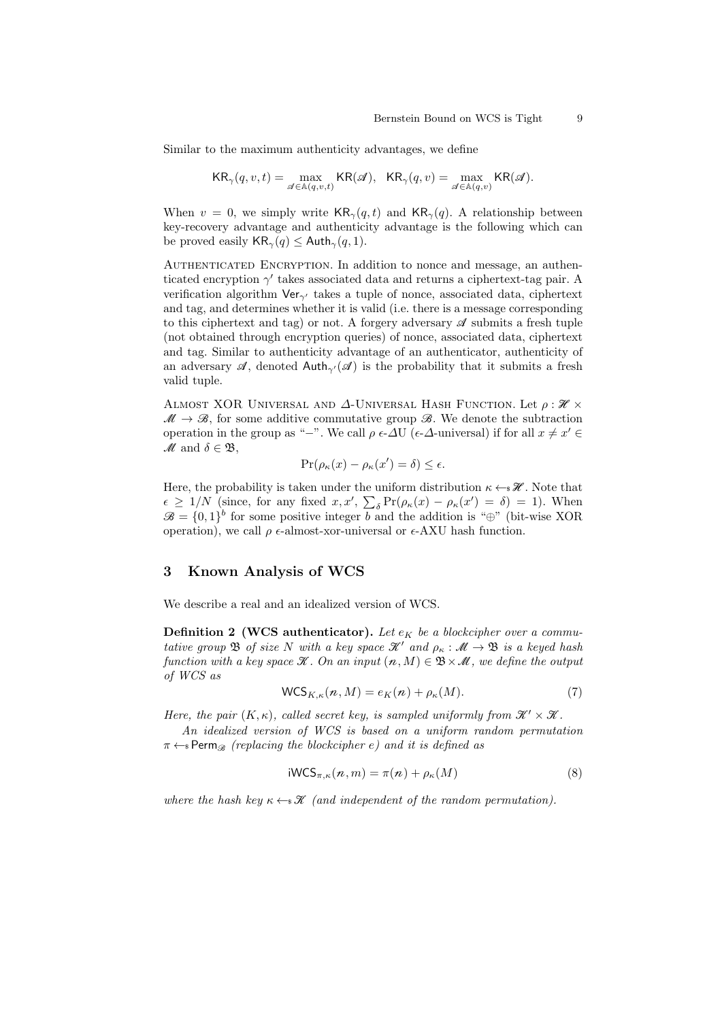Similar to the maximum authenticity advantages, we define

$$
\mathsf{KR}_{\gamma}(q,v,t) = \max_{\mathscr{A} \in \mathbb{A}(q,v,t)} \mathsf{KR}(\mathscr{A}), \quad \mathsf{KR}_{\gamma}(q,v) = \max_{\mathscr{A} \in \mathbb{A}(q,v)} \mathsf{KR}(\mathscr{A}).
$$

When  $v = 0$ , we simply write  $KR_{\gamma}(q, t)$  and  $KR_{\gamma}(q)$ . A relationship between key-recovery advantage and authenticity advantage is the following which can be proved easily  $KR_{\gamma}(q) \leq \text{Aut}h_{\gamma}(q, 1)$ .

AUTHENTICATED ENCRYPTION. In addition to nonce and message, an authenticated encryption  $\gamma'$  takes associated data and returns a ciphertext-tag pair. A verification algorithm  $\mathsf{Ver}_{\gamma'}$  takes a tuple of nonce, associated data, ciphertext and tag, and determines whether it is valid (i.e. there is a message corresponding to this ciphertext and tag) or not. A forgery adversary  $\mathscr A$  submits a fresh tuple (not obtained through encryption queries) of nonce, associated data, ciphertext and tag. Similar to authenticity advantage of an authenticator, authenticity of an adversary  $\mathscr{A}$ , denoted Auth<sub> $\gamma$ </sub> $(\mathscr{A})$  is the probability that it submits a fresh valid tuple.

ALMOST XOR UNIVERSAL AND  $\Delta$ -UNIVERSAL HASH FUNCTION. Let  $\rho : \mathcal{H} \times$  $\mathcal{M} \to \mathcal{B}$ , for some additive commutative group  $\mathcal{B}$ . We denote the subtraction operation in the group as "−". We call  $\rho \in \Delta U$  ( $\epsilon$ - $\Delta$ -universal) if for all  $x \neq x' \in$  $M$  and  $\delta \in \mathfrak{B}$ .

$$
\Pr(\rho_{\kappa}(x) - \rho_{\kappa}(x') = \delta) \le \epsilon.
$$

Here, the probability is taken under the uniform distribution  $\kappa \leftarrow \mathcal{H}$ . Note that  $\epsilon \geq 1/N$  (since, for any fixed  $x, x', \sum_{\delta} \Pr(\rho_{\kappa}(x) - \rho_{\kappa}(x')) = \delta$ ) = 1). When  $\mathscr{B} = \{0,1\}^b$  for some positive integer b and the addition is "⊕" (bit-wise XOR operation), we call  $\rho \in \text{almost-xor-universal or } \in \text{AXU hash function.}$ 

# 3 Known Analysis of WCS

We describe a real and an idealized version of WCS.

**Definition 2 (WCS authenticator).** Let  $e_K$  be a blockcipher over a commutative group  $\mathfrak B$  of size N with a key space  $\mathcal K'$  and  $\rho_{\kappa} : \mathcal M \to \mathfrak B$  is a keyed hash function with a key space  $\mathcal{K}$ . On an input  $(n, M) \in \mathcal{B} \times \mathcal{M}$ , we define the output of WCS as

$$
\mathsf{WCS}_{K,\kappa}(n,M) = e_K(n) + \rho_\kappa(M). \tag{7}
$$

Here, the pair  $(K, \kappa)$ , called secret key, is sampled uniformly from  $\mathcal{K}' \times \mathcal{K}$ .

An idealized version of WCS is based on a uniform random permutation  $\pi \leftarrow s$  Perm<sub> $\mathcal{B}$ </sub> (replacing the blockcipher e) and it is defined as

$$
iWCS_{\pi,\kappa}(n,m) = \pi(n) + \rho_{\kappa}(M)
$$
\n(8)

where the hash key  $\kappa \leftarrow \mathcal{K}$  (and independent of the random permutation).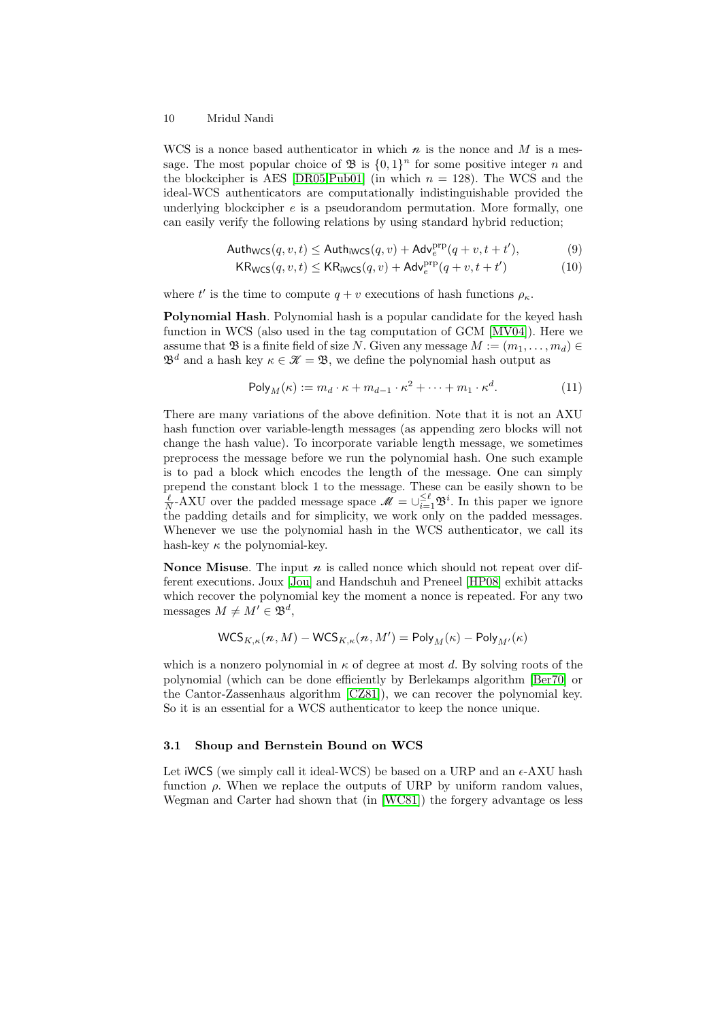WCS is a nonce based authenticator in which  $n$  is the nonce and M is a message. The most popular choice of  $\mathfrak{B}$  is  $\{0,1\}^n$  for some positive integer n and the blockcipher is AES [\[DR05](#page-23-14)[,Pub01\]](#page-24-15) (in which  $n = 128$ ). The WCS and the ideal-WCS authenticators are computationally indistinguishable provided the underlying blockcipher  $e$  is a pseudorandom permutation. More formally, one can easily verify the following relations by using standard hybrid reduction;

$$
Author_{WCS}(q, v, t) \leq \mathsf{Auth}_{iWCS}(q, v) + \mathsf{Adv}_{e}^{\text{prp}}(q + v, t + t'), \tag{9}
$$

$$
KR_{WCS}(q, v, t) \leq KR_{iWCS}(q, v) + \mathsf{Adv}_{e}^{\text{prp}}(q + v, t + t') \tag{10}
$$

where t' is the time to compute  $q + v$  executions of hash functions  $\rho_{\kappa}$ .

Polynomial Hash. Polynomial hash is a popular candidate for the keyed hash function in WCS (also used in the tag computation of GCM [\[MV04\]](#page-24-5)). Here we assume that B is a finite field of size N. Given any message  $M := (m_1, \ldots, m_d) \in$  $\mathfrak{B}^d$  and a hash key  $\kappa \in \mathcal{K} = \mathfrak{B}$ , we define the polynomial hash output as

$$
\mathsf{Poly}_M(\kappa) := m_d \cdot \kappa + m_{d-1} \cdot \kappa^2 + \dots + m_1 \cdot \kappa^d. \tag{11}
$$

There are many variations of the above definition. Note that it is not an AXU hash function over variable-length messages (as appending zero blocks will not change the hash value). To incorporate variable length message, we sometimes preprocess the message before we run the polynomial hash. One such example is to pad a block which encodes the length of the message. One can simply prepend the constant block 1 to the message. These can be easily shown to be  $\frac{\ell}{N}$ -AXU over the padded message space  $\mathcal{M} = \bigcup_{i=1}^{\leq \ell} \mathfrak{B}^i$ . In this paper we ignore the padding details and for simplicity, we work only on the padded messages. Whenever we use the polynomial hash in the WCS authenticator, we call its hash-key  $\kappa$  the polynomial-key.

**Nonce Misuse.** The input  $n$  is called nonce which should not repeat over different executions. Joux [\[Jou\]](#page-24-10) and Handschuh and Preneel [\[HP08\]](#page-24-11) exhibit attacks which recover the polynomial key the moment a nonce is repeated. For any two messages  $M \neq M' \in \mathfrak{B}^d$ ,

$$
\mathsf{WCS}_{K,\kappa}(\mathbf{\mathit{n}},M)-\mathsf{WCS}_{K,\kappa}(\mathbf{\mathit{n}},M')=\mathsf{Poly}_M(\kappa)-\mathsf{Poly}_{M'}(\kappa)
$$

which is a nonzero polynomial in  $\kappa$  of degree at most d. By solving roots of the polynomial (which can be done efficiently by Berlekamps algorithm [\[Ber70\]](#page-23-15) or the Cantor-Zassenhaus algorithm [\[CZ81\]](#page-23-16)), we can recover the polynomial key. So it is an essential for a WCS authenticator to keep the nonce unique.

#### 3.1 Shoup and Bernstein Bound on WCS

Let iWCS (we simply call it ideal-WCS) be based on a URP and an  $\epsilon$ -AXU hash function  $\rho$ . When we replace the outputs of URP by uniform random values, Wegman and Carter had shown that (in [\[WC81\]](#page-25-0)) the forgery advantage os less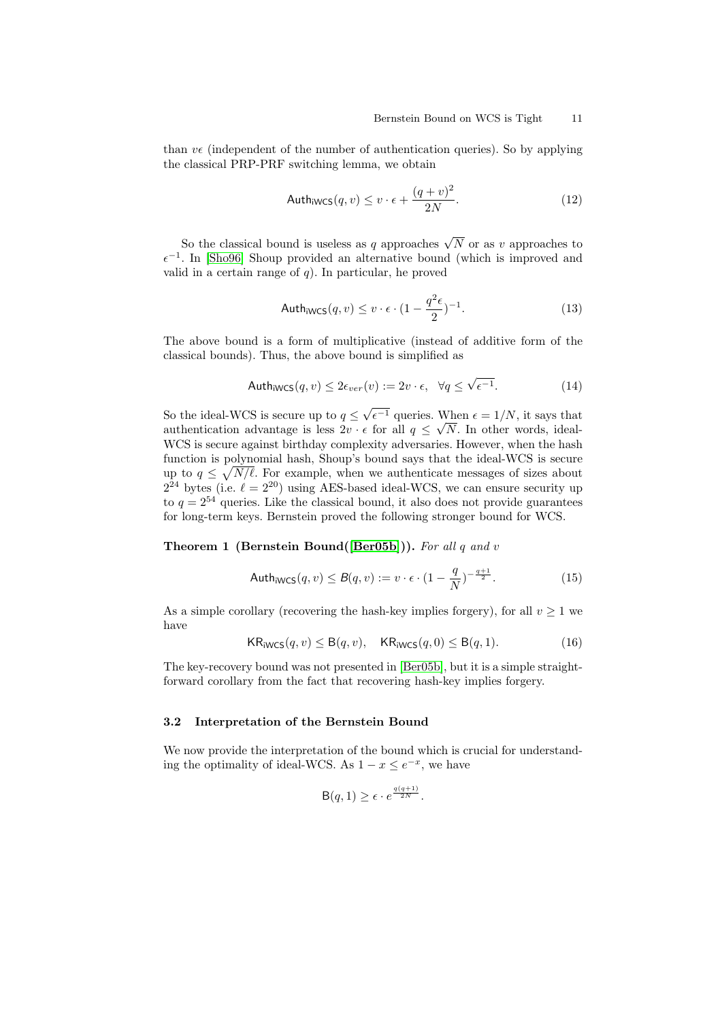than  $v\epsilon$  (independent of the number of authentication queries). So by applying the classical PRP-PRF switching lemma, we obtain

$$
With_{iWCS}(q, v) \le v \cdot \epsilon + \frac{(q+v)^2}{2N}.
$$
\n(12)

So the classical bound is useless as q approaches  $\sqrt{N}$  or as v approaches to  $\epsilon^{-1}$ . In [\[Sho96\]](#page-25-3) Shoup provided an alternative bound (which is improved and valid in a certain range of  $q$ ). In particular, he proved

$$
Author_{iWCS}(q, v) \le v \cdot \epsilon \cdot (1 - \frac{q^2 \epsilon}{2})^{-1}.
$$
\n(13)

The above bound is a form of multiplicative (instead of additive form of the classical bounds). Thus, the above bound is simplified as

$$
With_{iWCS}(q, v) \le 2\epsilon_{ver}(v) := 2v \cdot \epsilon, \quad \forall q \le \sqrt{\epsilon^{-1}}.
$$
\n(14)

So the ideal-WCS is secure up to  $q \leq$ √  $\epsilon^{-1}$  queries. When  $\epsilon = 1/N$ , it says that authentication advantage is less  $2v \cdot \epsilon$  for all  $q \leq \sqrt{N}$ . In other words, ideal-WCS is secure against birthday complexity adversaries. However, when the hash function is polynomial hash, Shoup's bound says that the ideal-WCS is secure up to  $q \leq \sqrt{N/\ell}$ . For example, when we authenticate messages of sizes about  $2^{24}$  bytes (i.e.  $\ell = 2^{20}$ ) using AES-based ideal-WCS, we can ensure security up to  $q = 2^{54}$  queries. Like the classical bound, it also does not provide guarantees for long-term keys. Bernstein proved the following stronger bound for WCS.

#### Theorem 1 (Bernstein Bound([\[Ber05b\]](#page-23-9))). For all q and v

$$
With_{iWCS}(q, v) \leq B(q, v) := v \cdot \epsilon \cdot \left(1 - \frac{q}{N}\right)^{-\frac{q+1}{2}}.
$$
\n
$$
(15)
$$

As a simple corollary (recovering the hash-key implies forgery), for all  $v \ge 1$  we have

$$
KR_{iWCS}(q, v) \leq B(q, v), \quad KR_{iWCS}(q, 0) \leq B(q, 1). \tag{16}
$$

The key-recovery bound was not presented in [\[Ber05b\]](#page-23-9), but it is a simple straightforward corollary from the fact that recovering hash-key implies forgery.

# 3.2 Interpretation of the Bernstein Bound

We now provide the interpretation of the bound which is crucial for understanding the optimality of ideal-WCS. As  $1 - x \leq e^{-x}$ , we have

$$
\mathsf{B}(q,1) \geq \epsilon \cdot e^{\frac{q(q+1)}{2N}}.
$$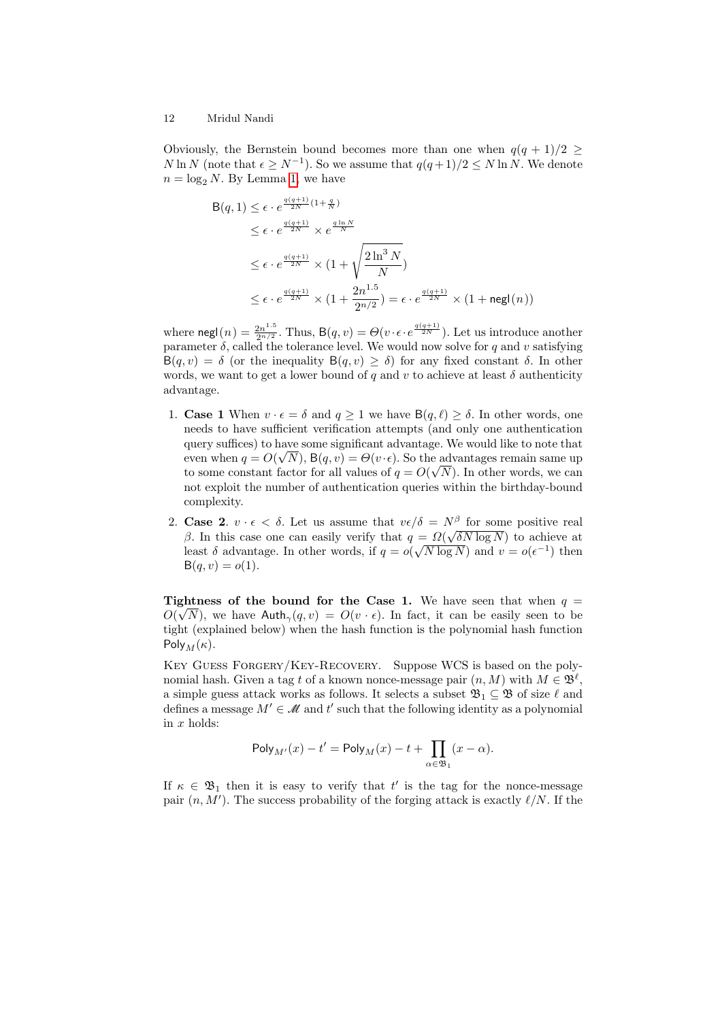Obviously, the Bernstein bound becomes more than one when  $q(q + 1)/2 \ge$ N ln N (note that  $\epsilon \geq N^{-1}$ ). So we assume that  $q(q+1)/2 \leq N \ln N$ . We denote  $n = \log_2 N$ . By Lemma [1,](#page-5-0) we have

$$
B(q, 1) \leq \epsilon \cdot e^{\frac{q(q+1)}{2N}(1+\frac{q}{N})}
$$
  
\n
$$
\leq \epsilon \cdot e^{\frac{q(q+1)}{2N}} \times e^{\frac{q\ln N}{N}}
$$
  
\n
$$
\leq \epsilon \cdot e^{\frac{q(q+1)}{2N}} \times (1+\sqrt{\frac{2\ln^3 N}{N}})
$$
  
\n
$$
\leq \epsilon \cdot e^{\frac{q(q+1)}{2N}} \times (1+\frac{2n^{1.5}}{2^{n/2}}) = \epsilon \cdot e^{\frac{q(q+1)}{2N}} \times (1+\text{negl}(n))
$$

where  $\mathsf{negl}(n) = \frac{2n^{1.5}}{2n/2}$  $\frac{2n^{1.5}}{2^{n/2}}$ . Thus,  $B(q, v) = \Theta(v \cdot \epsilon \cdot e^{\frac{q(q+1)}{2N}})$ . Let us introduce another parameter  $\delta$ , called the tolerance level. We would now solve for q and v satisfying  $B(q, v) = \delta$  (or the inequality  $B(q, v) \ge \delta$ ) for any fixed constant  $\delta$ . In other words, we want to get a lower bound of q and v to achieve at least  $\delta$  authenticity advantage.

- 1. **Case 1** When  $v \cdot \epsilon = \delta$  and  $q \ge 1$  we have  $B(q, \ell) \ge \delta$ . In other words, one needs to have sufficient verification attempts (and only one authentication query suffices) to have some significant advantage. We would like to note that even when  $q = O(\sqrt{N})$ ,  $B(q, v) = \Theta(v \cdot \epsilon)$ . So the advantages remain same up to some constant factor for all values of  $q = O(\sqrt{N})$ . In other words, we can not exploit the number of authentication queries within the birthday-bound complexity.
- 2. **Case 2.**  $v \cdot \epsilon < \delta$ . Let us assume that  $v\epsilon/\delta = N^{\beta}$  for some positive real β. In this case one can easily verify that  $q = \Omega(\sqrt{\delta N} \log N)$  to achieve at least  $\delta$  advantage. In other words, if  $q = o(\sqrt{N \log N})$  and  $v = o(\epsilon^{-1})$  then  $B(q, v) = o(1)$ .

Tightness of the bound for the Case 1. We have seen that when  $q =$  $O(\sqrt{N})$ , we have Auth $_{\gamma}(q, v) = O(v \cdot \epsilon)$ . In fact, it can be easily seen to be tight (explained below) when the hash function is the polynomial hash function Poly<sub>M</sub> $(\kappa)$ .

Key Guess Forgery/Key-Recovery. Suppose WCS is based on the polynomial hash. Given a tag t of a known nonce-message pair  $(n, M)$  with  $M \in \mathfrak{B}^{\ell}$ , a simple guess attack works as follows. It selects a subset  $\mathfrak{B}_1 \subseteq \mathfrak{B}$  of size  $\ell$  and defines a message  $M' \in \mathcal{M}$  and t' such that the following identity as a polynomial in  $x$  holds:

$$
\mathsf{Poly}_{M'}(x) - t' = \mathsf{Poly}_M(x) - t + \prod_{\alpha \in \mathfrak{B}_1} (x - \alpha).
$$

If  $\kappa \in \mathfrak{B}_1$  then it is easy to verify that t' is the tag for the nonce-message pair  $(n, M')$ . The success probability of the forging attack is exactly  $\ell/N$ . If the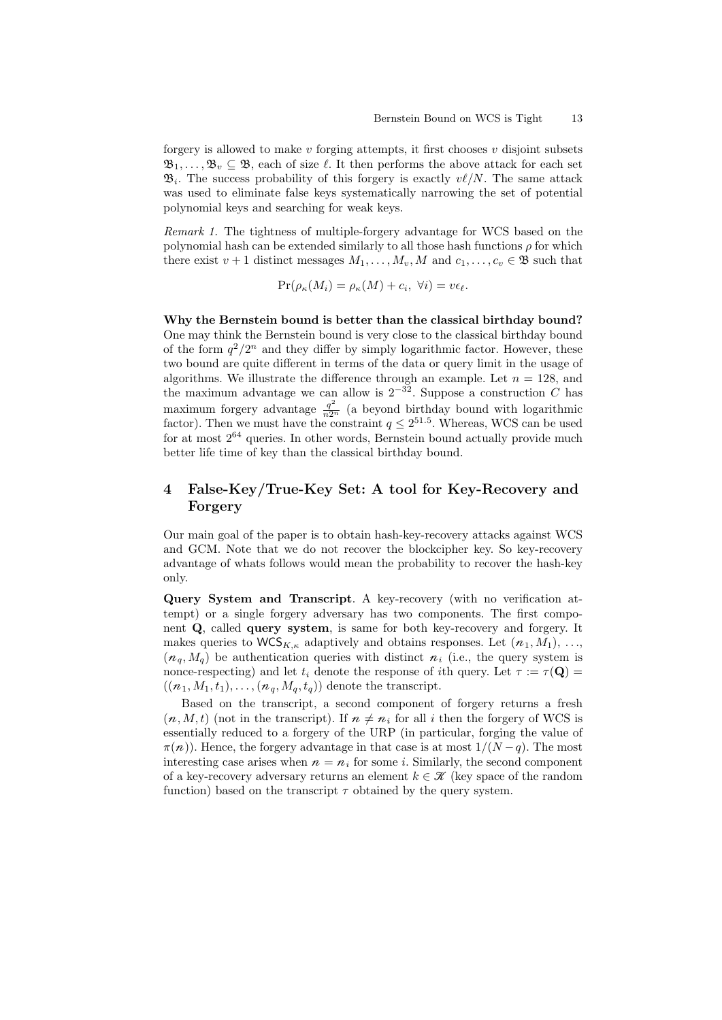forgery is allowed to make v forging attempts, it first chooses v disjoint subsets  $\mathfrak{B}_1, \ldots, \mathfrak{B}_v \subseteq \mathfrak{B}$ , each of size  $\ell$ . It then performs the above attack for each set  $\mathfrak{B}_i$ . The success probability of this forgery is exactly  $v\ell/N$ . The same attack was used to eliminate false keys systematically narrowing the set of potential polynomial keys and searching for weak keys.

Remark 1. The tightness of multiple-forgery advantage for WCS based on the polynomial hash can be extended similarly to all those hash functions  $\rho$  for which there exist  $v + 1$  distinct messages  $M_1, \ldots, M_v, M$  and  $c_1, \ldots, c_v \in \mathfrak{B}$  such that

$$
\Pr(\rho_{\kappa}(M_i) = \rho_{\kappa}(M) + c_i, \ \forall i) = v\epsilon_{\ell}.
$$

Why the Bernstein bound is better than the classical birthday bound? One may think the Bernstein bound is very close to the classical birthday bound of the form  $q^2/2^n$  and they differ by simply logarithmic factor. However, these two bound are quite different in terms of the data or query limit in the usage of algorithms. We illustrate the difference through an example. Let  $n = 128$ , and the maximum advantage we can allow is  $2^{-32}$ . Suppose a construction C has maximum forgery advantage  $\frac{q^2}{n2^n}$  (a beyond birthday bound with logarithmic factor). Then we must have the constraint  $q \leq 2^{51.5}$ . Whereas, WCS can be used for at most  $2^{64}$  queries. In other words, Bernstein bound actually provide much better life time of key than the classical birthday bound.

# 4 False-Key/True-Key Set: A tool for Key-Recovery and **Forgery**

Our main goal of the paper is to obtain hash-key-recovery attacks against WCS and GCM. Note that we do not recover the blockcipher key. So key-recovery advantage of whats follows would mean the probability to recover the hash-key only.

Query System and Transcript. A key-recovery (with no verification attempt) or a single forgery adversary has two components. The first component Q, called query system, is same for both key-recovery and forgery. It makes queries to  $WCS_{K,\kappa}$  adaptively and obtains responses. Let  $(n_1, M_1), \ldots,$  $(n_q, M_q)$  be authentication queries with distinct  $n_i$  (i.e., the query system is nonce-respecting) and let  $t_i$  denote the response of ith query. Let  $\tau := \tau(\mathbf{Q}) =$  $((n_1, M_1, t_1), \ldots, (n_q, M_q, t_q))$  denote the transcript.

Based on the transcript, a second component of forgery returns a fresh  $(n, M, t)$  (not in the transcript). If  $n \neq n_i$  for all i then the forgery of WCS is essentially reduced to a forgery of the URP (in particular, forging the value of  $\pi(n)$ ). Hence, the forgery advantage in that case is at most  $1/(N-q)$ . The most interesting case arises when  $n = n_i$  for some *i*. Similarly, the second component of a key-recovery adversary returns an element  $k \in \mathcal{K}$  (key space of the random function) based on the transcript  $\tau$  obtained by the query system.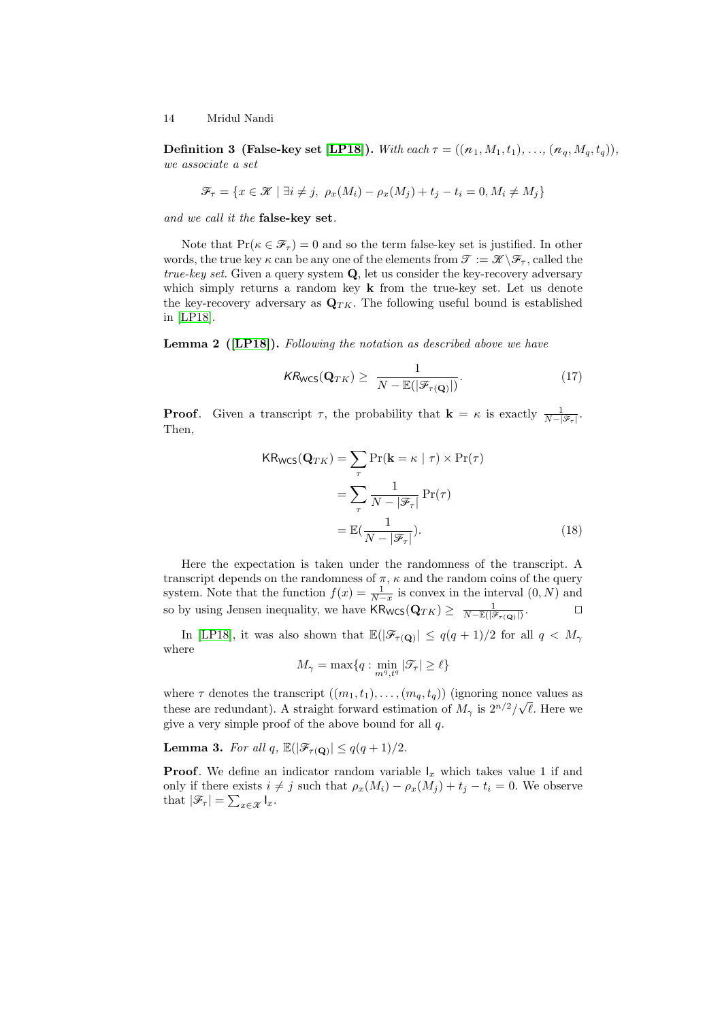**Definition 3 (False-key set [\[LP18\]](#page-24-14)).** With each  $\tau = ((n_1, M_1, t_1), \ldots, (n_q, M_q, t_q)),$ we associate a set

$$
\mathcal{F}_{\tau} = \{ x \in \mathcal{K} \mid \exists i \neq j, \ \rho_x(M_i) - \rho_x(M_j) + t_j - t_i = 0, M_i \neq M_j \}
$$

and we call it the false-key set.

Note that  $Pr(\kappa \in \mathcal{F}_{\tau}) = 0$  and so the term false-key set is justified. In other words, the true key  $\kappa$  can be any one of the elements from  $\mathcal{T} := \mathcal{K} \backslash \mathcal{F}_{\tau}$ , called the true-key set. Given a query system Q, let us consider the key-recovery adversary which simply returns a random key  $\bf{k}$  from the true-key set. Let us denote the key-recovery adversary as  $\mathbf{Q}_{TK}$ . The following useful bound is established in [\[LP18\]](#page-24-14).

Lemma 2 ([\[LP18\]](#page-24-14)). Following the notation as described above we have

$$
KR_{\text{WCS}}(\mathbf{Q}_{TK}) \ge \frac{1}{N - \mathbb{E}(|\mathcal{F}_{\tau(\mathbf{Q})}|)}.\tag{17}
$$

**Proof.** Given a transcript  $\tau$ , the probability that  $\mathbf{k} = \kappa$  is exactly  $\frac{1}{N-|\mathscr{F}_{\tau}|}$ . Then,

$$
KR_{WCS}(\mathbf{Q}_{TK}) = \sum_{\tau} \Pr(\mathbf{k} = \kappa \mid \tau) \times \Pr(\tau)
$$

$$
= \sum_{\tau} \frac{1}{N - |\mathcal{F}_{\tau}|} \Pr(\tau)
$$

$$
= \mathbb{E}(\frac{1}{N - |\mathcal{F}_{\tau}|}). \tag{18}
$$

Here the expectation is taken under the randomness of the transcript. A transcript depends on the randomness of  $\pi$ ,  $\kappa$  and the random coins of the query system. Note that the function  $f(x) = \frac{1}{N-x}$  is convex in the interval  $(0, N)$  and so by using Jensen inequality, we have  $\mathsf{KR}_{\mathsf{WCS}}(\mathbf{Q}_{TK}) \ge \frac{1}{N - \mathbb{E}(|\mathcal{F}_{\tau(\mathbf{Q})}|)}$  $\Box$ 

In [\[LP18\]](#page-24-14), it was also shown that  $\mathbb{E}(|\mathcal{F}_{\tau(Q)}| \leq q(q+1)/2$  for all  $q < M_{\gamma}$ where

$$
M_\gamma=\max\{q:\min_{m^q,t^q}|\mathcal{T}_\tau|\geq \ell\}
$$

where  $\tau$  denotes the transcript  $((m_1, t_1), \ldots, (m_q, t_q))$  (ignoring nonce values as these are redundant). A straight forward estimation of  $M_{\gamma}$  is  $2^{n/2}/\sqrt{\ell}$ . Here we give a very simple proof of the above bound for all q.

**Lemma 3.** For all q,  $\mathbb{E}(|\mathcal{F}_{\tau(\mathbf{Q})}| \leq q(q+1)/2$ .

**Proof.** We define an indicator random variable  $I_x$  which takes value 1 if and only if there exists  $i \neq j$  such that  $\rho_x(M_i) - \rho_x(M_j) + t_j - t_i = 0$ . We observe that  $|\mathcal{F}_{\tau}| = \sum_{x \in \mathcal{X}} I_x$ .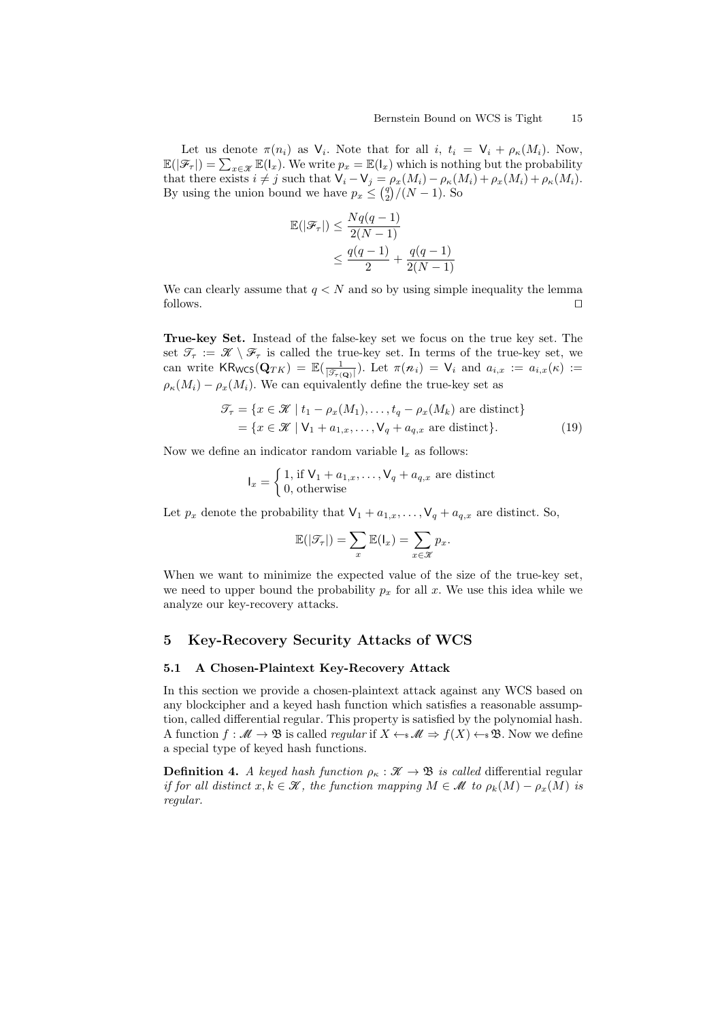Let us denote  $\pi(n_i)$  as  $\mathsf{V}_i$ . Note that for all  $i, t_i = \mathsf{V}_i + \rho_{\kappa}(M_i)$ . Now,  $\mathbb{E}(|\mathcal{F}_{\tau}|) = \sum_{x \in \mathcal{X}} \mathbb{E}(|x|)$ . We write  $p_x = \mathbb{E}(|x|)$  which is nothing but the probability that there exists  $i \neq j$  such that  $\mathsf{V}_i - \mathsf{V}_j = \rho_x(M_i) - \rho_x(M_i) + \rho_x(M_i) + \rho_x(M_i)$ . By using the union bound we have  $p_x \leq \binom{q}{2} / (N-1)$ . So

$$
\mathbb{E}(|\mathcal{F}_{\tau}|) \le \frac{Nq(q-1)}{2(N-1)}
$$
  

$$
\le \frac{q(q-1)}{2} + \frac{q(q-1)}{2(N-1)}
$$

We can clearly assume that  $q < N$  and so by using simple inequality the lemma  $\Box$  follows.

True-key Set. Instead of the false-key set we focus on the true key set. The set  $\mathcal{T}_{\tau} := \mathcal{K} \setminus \mathcal{F}_{\tau}$  is called the true-key set. In terms of the true-key set, we can write  $\textsf{KR}_{\textsf{WCS}}(\mathbf{Q}_{TK}) = \mathbb{E}(\frac{1}{|\mathcal{F}_{\tau(\mathbf{Q})}|})$ . Let  $\pi(n_i) = \mathsf{V}_i$  and  $a_{i,x} := a_{i,x}(\kappa) :=$  $\rho_{\kappa}(M_i) - \rho_{x}(M_i)$ . We can equivalently define the true-key set as

$$
\mathcal{T}_{\tau} = \{ x \in \mathcal{K} \mid t_1 - \rho_x(M_1), \dots, t_q - \rho_x(M_k) \text{ are distinct} \}
$$

$$
= \{ x \in \mathcal{K} \mid V_1 + a_{1,x}, \dots, V_q + a_{q,x} \text{ are distinct} \}. \tag{19}
$$

Now we define an indicator random variable  $I<sub>x</sub>$  as follows:

$$
I_x = \begin{cases} 1, & \text{if } \mathsf{V}_1 + a_{1,x}, \dots, \mathsf{V}_q + a_{q,x} \text{ are distinct} \\ 0, & \text{otherwise} \end{cases}
$$

Let  $p_x$  denote the probability that  $\mathsf{V}_1 + a_{1,x}, \ldots, \mathsf{V}_q + a_{q,x}$  are distinct. So,

$$
\mathbb{E}(|\mathcal{T}_{\tau}|) = \sum_{x} \mathbb{E}(\mathsf{I}_{x}) = \sum_{x \in \mathcal{X}} p_{x}.
$$

When we want to minimize the expected value of the size of the true-key set, we need to upper bound the probability  $p_x$  for all x. We use this idea while we analyze our key-recovery attacks.

# 5 Key-Recovery Security Attacks of WCS

# 5.1 A Chosen-Plaintext Key-Recovery Attack

In this section we provide a chosen-plaintext attack against any WCS based on any blockcipher and a keyed hash function which satisfies a reasonable assumption, called differential regular. This property is satisfied by the polynomial hash. A function  $f : \mathcal{M} \to \mathfrak{B}$  is called *regular* if  $X \leftarrow s \mathcal{M} \Rightarrow f(X) \leftarrow s \mathfrak{B}$ . Now we define a special type of keyed hash functions.

**Definition 4.** A keyed hash function  $\rho_{\kappa} : \mathcal{K} \to \mathcal{B}$  is called differential regular if for all distinct  $x, k \in \mathcal{K}$ , the function mapping  $M \in \mathcal{M}$  to  $\rho_k(M) - \rho_x(M)$  is regular.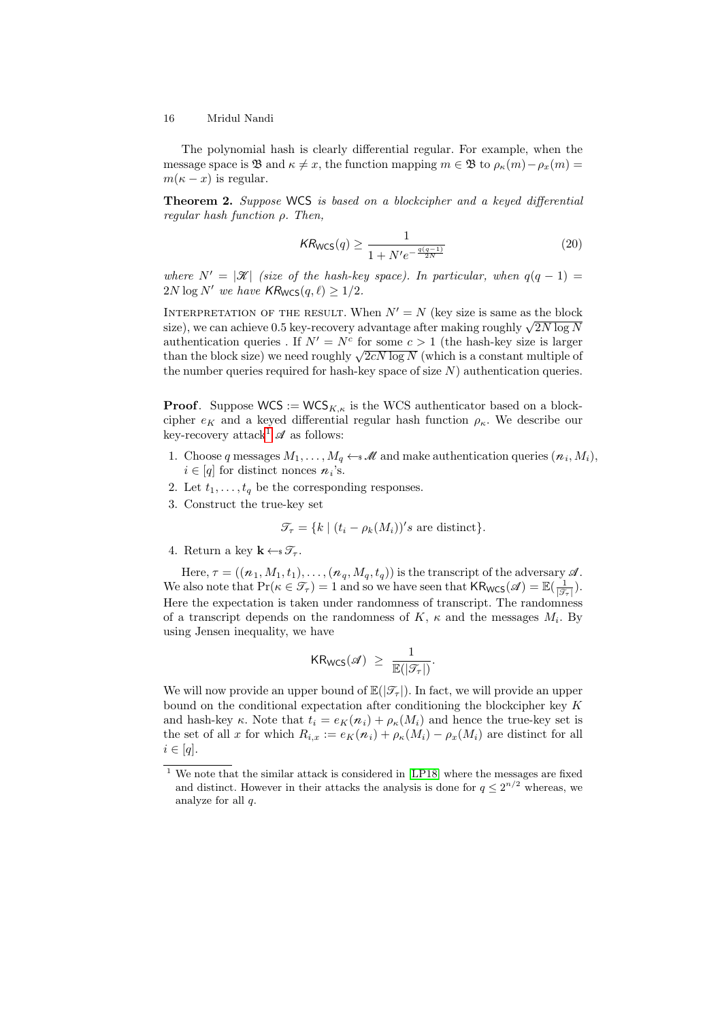The polynomial hash is clearly differential regular. For example, when the message space is B and  $\kappa \neq x$ , the function mapping  $m \in \mathfrak{B}$  to  $\rho_{\kappa}(m) - \rho_{x}(m) =$  $m(\kappa - x)$  is regular.

<span id="page-15-1"></span>Theorem 2. Suppose WCS is based on a blockcipher and a keyed differential regular hash function  $\rho$ . Then,

$$
KR_{\text{WCS}}(q) \ge \frac{1}{1 + N'e^{-\frac{q(q-1)}{2N}}}
$$
\n(20)

where  $N' = |\mathcal{K}|$  (size of the hash-key space). In particular, when  $q(q - 1) =$  $2N \log N'$  we have  $\mathsf{KR}_{\mathsf{WCS}}(q, \ell) \geq 1/2$ .

INTERPRETATION OF THE RESULT. When  $N' = N$  (key size is same as the block INTERPRETATION OF THE RESULT. WHEN  $N = N$  (key size is same as the block<br>size), we can achieve 0.5 key-recovery advantage after making roughly  $\sqrt{2N \log N}$ authentication queries. If  $N' = N^c$  for some  $c > 1$  (the hash-key size is larger authentication queries . If  $N = N$  for some  $c > 1$  (the hash-key size is larger than the block size) we need roughly  $\sqrt{2cN \log N}$  (which is a constant multiple of the number queries required for hash-key space of size  $N$ ) authentication queries.

**Proof.** Suppose  $WCS := WCS_{K,\kappa}$  is the WCS authenticator based on a blockcipher  $e_K$  and a keyed differential regular hash function  $\rho_{\kappa}$ . We describe our key-recovery attack<sup>[1](#page-15-0)</sup>  $\mathscr A$  as follows:

- 1. Choose q messages  $M_1, \ldots, M_q \leftarrow \mathcal{M}$  and make authentication queries  $(n_i, M_i)$ ,  $i \in [q]$  for distinct nonces  $n_i$ 's.
- 2. Let  $t_1, \ldots, t_q$  be the corresponding responses.
- 3. Construct the true-key set

$$
\mathcal{T}_{\tau} = \{ k \mid (t_i - \rho_k(M_i))' s \text{ are distinct} \}.
$$

4. Return a key  $\mathbf{k} \leftarrow \mathcal{T}_{\tau}$ .

Here,  $\tau = ((n_1, M_1, t_1), \ldots, (n_q, M_q, t_q))$  is the transcript of the adversary  $\mathscr A$ . We also note that  $Pr(\kappa \in \mathcal{T}_{\tau}) = 1$  and so we have seen that  $KR_{WCS}(\mathscr{A}) = \mathbb{E}(\frac{1}{|\mathcal{T}_{\tau}|}).$ Here the expectation is taken under randomness of transcript. The randomness of a transcript depends on the randomness of  $K$ ,  $\kappa$  and the messages  $M_i$ . By using Jensen inequality, we have

$$
\mathsf{KR}_{\mathsf{WCS}}(\mathscr{A}) \ \geq \ \frac{1}{\mathbb{E}(|\mathcal{T}_\tau|)}.
$$

We will now provide an upper bound of  $\mathbb{E}(|\mathcal{T}_{\tau}|)$ . In fact, we will provide an upper bound on the conditional expectation after conditioning the blockcipher key  $K$ and hash-key  $\kappa$ . Note that  $t_i = e_K(n_i) + \rho_\kappa(M_i)$  and hence the true-key set is the set of all x for which  $R_{i,x} := e_K(n_i) + \rho_K(M_i) - \rho_x(M_i)$  are distinct for all  $i \in [q]$ .

<span id="page-15-0"></span> $\frac{1}{1}$  We note that the similar attack is considered in [\[LP18\]](#page-24-14) where the messages are fixed and distinct. However in their attacks the analysis is done for  $q \leq 2^{n/2}$  whereas, we analyze for all q.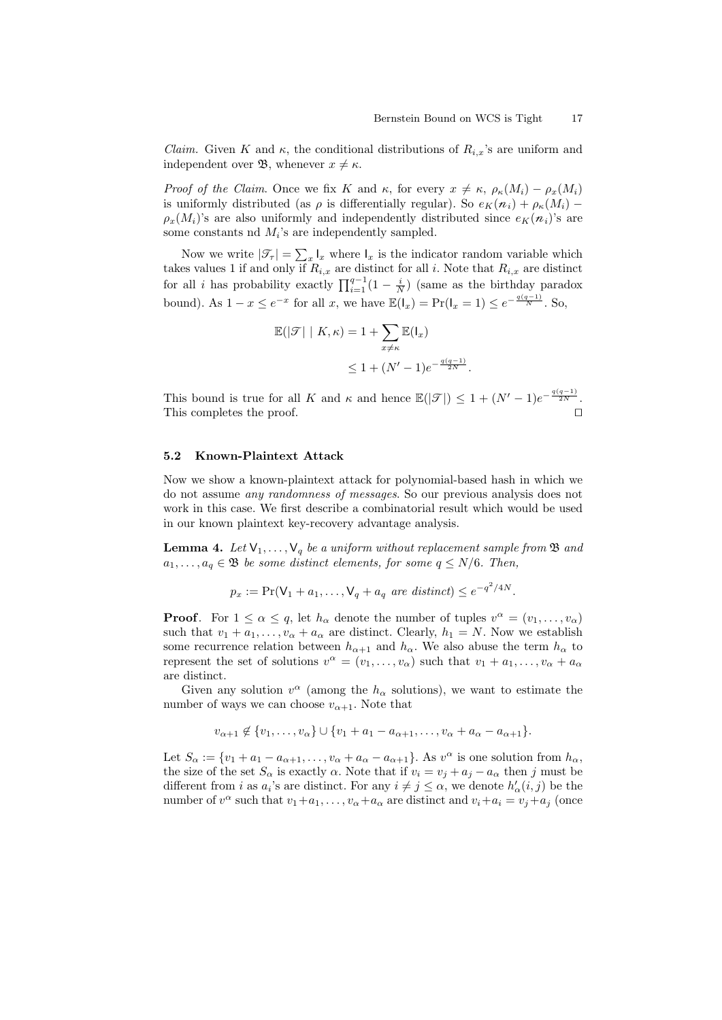*Claim.* Given K and  $\kappa$ , the conditional distributions of  $R_{i,x}$ 's are uniform and independent over **B**, whenever  $x \neq \kappa$ .

*Proof of the Claim.* Once we fix K and  $\kappa$ , for every  $x \neq \kappa$ ,  $\rho_{\kappa}(M_i) - \rho_x(M_i)$ is uniformly distributed (as  $\rho$  is differentially regular). So  $e_K(n_i) + \rho_K(M_i)$  –  $\rho_x(M_i)$ 's are also uniformly and independently distributed since  $e_K(n_i)$ 's are some constants nd  $M_i$ 's are independently sampled.

Now we write  $|\mathcal{T}_{\tau}| = \sum_{x} I_x$  where  $I_x$  is the indicator random variable which takes values 1 if and only if  $R_{i,x}$  are distinct for all i. Note that  $R_{i,x}$  are distinct for all i has probability exactly  $\prod_{i=1}^{q-1} (1 - \frac{i}{N})$  (same as the birthday paradox bound). As  $1-x \leq e^{-x}$  for all x, we have  $\mathbb{E}(\mathsf{I}_x) = \Pr(\mathsf{I}_x = 1) \leq e^{-\frac{q(q-1)}{N}}$ . So,

$$
\mathbb{E}(|\mathcal{T}| \mid K, \kappa) = 1 + \sum_{x \neq \kappa} \mathbb{E}(\mathbf{I}_x)
$$
  
\n
$$
\leq 1 + (N'-1)e^{-\frac{q(q-1)}{2N}}.
$$

This bound is true for all K and  $\kappa$  and hence  $\mathbb{E}(|\mathcal{T}|) \leq 1 + (N'-1)e^{-\frac{q(q-1)}{2N}}$ . This completes the proof.

## 5.2 Known-Plaintext Attack

Now we show a known-plaintext attack for polynomial-based hash in which we do not assume any randomness of messages. So our previous analysis does not work in this case. We first describe a combinatorial result which would be used in our known plaintext key-recovery advantage analysis.

<span id="page-16-0"></span>**Lemma 4.** Let  $V_1, \ldots, V_q$  be a uniform without replacement sample from  $\mathfrak{B}$  and  $a_1, \ldots, a_q \in \mathfrak{B}$  be some distinct elements, for some  $q \leq N/6$ . Then,

$$
p_x := \Pr(\mathsf{V}_1 + a_1, \dots, \mathsf{V}_q + a_q \text{ are distinct}) \le e^{-q^2/4N}.
$$

**Proof.** For  $1 \le \alpha \le q$ , let  $h_{\alpha}$  denote the number of tuples  $v^{\alpha} = (v_1, \dots, v_{\alpha})$ such that  $v_1 + a_1, \ldots, v_\alpha + a_\alpha$  are distinct. Clearly,  $h_1 = N$ . Now we establish some recurrence relation between  $h_{\alpha+1}$  and  $h_{\alpha}$ . We also abuse the term  $h_{\alpha}$  to represent the set of solutions  $v^{\alpha} = (v_1, \ldots, v_{\alpha})$  such that  $v_1 + a_1, \ldots, v_{\alpha} + a_{\alpha}$ are distinct.

Given any solution  $v^{\alpha}$  (among the  $h_{\alpha}$  solutions), we want to estimate the number of ways we can choose  $v_{\alpha+1}$ . Note that

$$
v_{\alpha+1}\notin \{v_1,\ldots,v_\alpha\}\cup \{v_1+a_1-a_{\alpha+1},\ldots,v_\alpha+a_\alpha-a_{\alpha+1}\}.
$$

Let  $S_{\alpha} := \{v_1 + a_1 - a_{\alpha+1}, \ldots, v_{\alpha} + a_{\alpha} - a_{\alpha+1}\}\.$  As  $v^{\alpha}$  is one solution from  $h_{\alpha}$ , the size of the set  $S_{\alpha}$  is exactly  $\alpha$ . Note that if  $v_i = v_j + a_j - a_{\alpha}$  then j must be different from *i* as  $a_i$ 's are distinct. For any  $i \neq j \leq \alpha$ , we denote  $h'_\alpha(i, j)$  be the number of  $v^{\alpha}$  such that  $v_1 + a_1, \ldots, v_{\alpha} + a_{\alpha}$  are distinct and  $v_i + a_i = v_j + a_j$  (once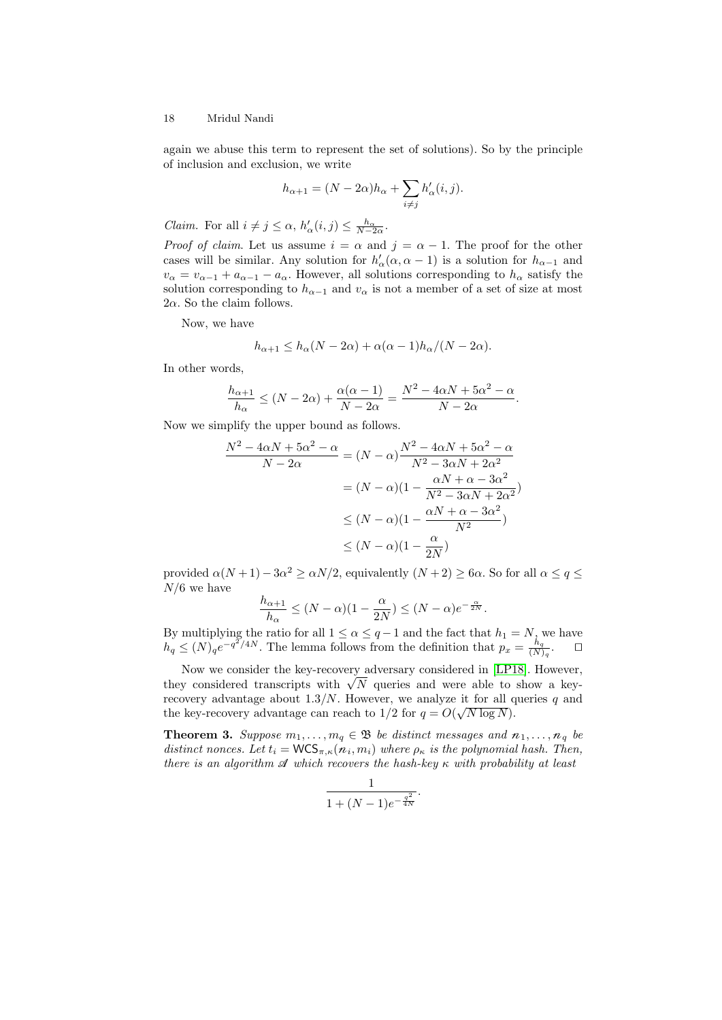again we abuse this term to represent the set of solutions). So by the principle of inclusion and exclusion, we write

$$
h_{\alpha+1} = (N - 2\alpha)h_{\alpha} + \sum_{i \neq j} h'_{\alpha}(i, j).
$$

*Claim.* For all  $i \neq j \leq \alpha$ ,  $h'_{\alpha}(i, j) \leq \frac{h_{\alpha}}{N-2\alpha}$ .

*Proof of claim.* Let us assume  $i = \alpha$  and  $j = \alpha - 1$ . The proof for the other cases will be similar. Any solution for  $h'_{\alpha}(\alpha, \alpha - 1)$  is a solution for  $h_{\alpha-1}$  and  $v_{\alpha} = v_{\alpha-1} + a_{\alpha-1} - a_{\alpha}$ . However, all solutions corresponding to  $h_{\alpha}$  satisfy the solution corresponding to  $h_{\alpha-1}$  and  $v_{\alpha}$  is not a member of a set of size at most  $2\alpha$ . So the claim follows.

Now, we have

$$
h_{\alpha+1} \le h_{\alpha}(N - 2\alpha) + \alpha(\alpha - 1)h_{\alpha}/(N - 2\alpha).
$$

In other words,

$$
\frac{h_{\alpha+1}}{h_{\alpha}} \le (N - 2\alpha) + \frac{\alpha(\alpha - 1)}{N - 2\alpha} = \frac{N^2 - 4\alpha N + 5\alpha^2 - \alpha}{N - 2\alpha}.
$$

Now we simplify the upper bound as follows.

$$
\frac{N^2 - 4\alpha N + 5\alpha^2 - \alpha}{N - 2\alpha} = (N - \alpha)\frac{N^2 - 4\alpha N + 5\alpha^2 - \alpha}{N^2 - 3\alpha N + 2\alpha^2}
$$

$$
= (N - \alpha)(1 - \frac{\alpha N + \alpha - 3\alpha^2}{N^2 - 3\alpha N + 2\alpha^2})
$$

$$
\leq (N - \alpha)(1 - \frac{\alpha N + \alpha - 3\alpha^2}{N^2})
$$

$$
\leq (N - \alpha)(1 - \frac{\alpha}{2N})
$$

provided  $\alpha(N+1) - 3\alpha^2 \ge \alpha N/2$ , equivalently  $(N+2) \ge 6\alpha$ . So for all  $\alpha \le q \le$  $N/6$  we have

$$
\frac{h_{\alpha+1}}{h_{\alpha}} \le (N - \alpha)(1 - \frac{\alpha}{2N}) \le (N - \alpha)e^{-\frac{\alpha}{2N}}.
$$

By multiplying the ratio for all  $1 \le \alpha \le q-1$  and the fact that  $h_1 = N$ , we have  $h_q \leq (N)_q e^{-q^2/4N}$ . The lemma follows from the definition that  $p_x = \frac{h_q}{(N)}$  $\frac{n_q}{(N)_q}$ .  $\Box$ 

Now we consider the key-recovery adversary considered in [\[LP18\]](#page-24-14). However, Now we consider the key-recovery adversary considered in [LP18]. However, they considered transcripts with  $\sqrt{N}$  queries and were able to show a keyrecovery advantage about 1.3/N. However, we analyze it for all queries q and the key-recovery advantage can reach to  $1/2$  for  $q = O(\sqrt{N \log N})$ .

**Theorem 3.** Suppose  $m_1, \ldots, m_q \in \mathfrak{B}$  be distinct messages and  $n_1, \ldots, n_q$  be distinct nonces. Let  $t_i = \text{WCS}_{\pi,\kappa}(n_i, m_i)$  where  $\rho_{\kappa}$  is the polynomial hash. Then, there is an algorithm  $\mathcal A$  which recovers the hash-key  $\kappa$  with probability at least

$$
\frac{1}{1 + (N - 1)e^{-\frac{q^2}{4N}}}.
$$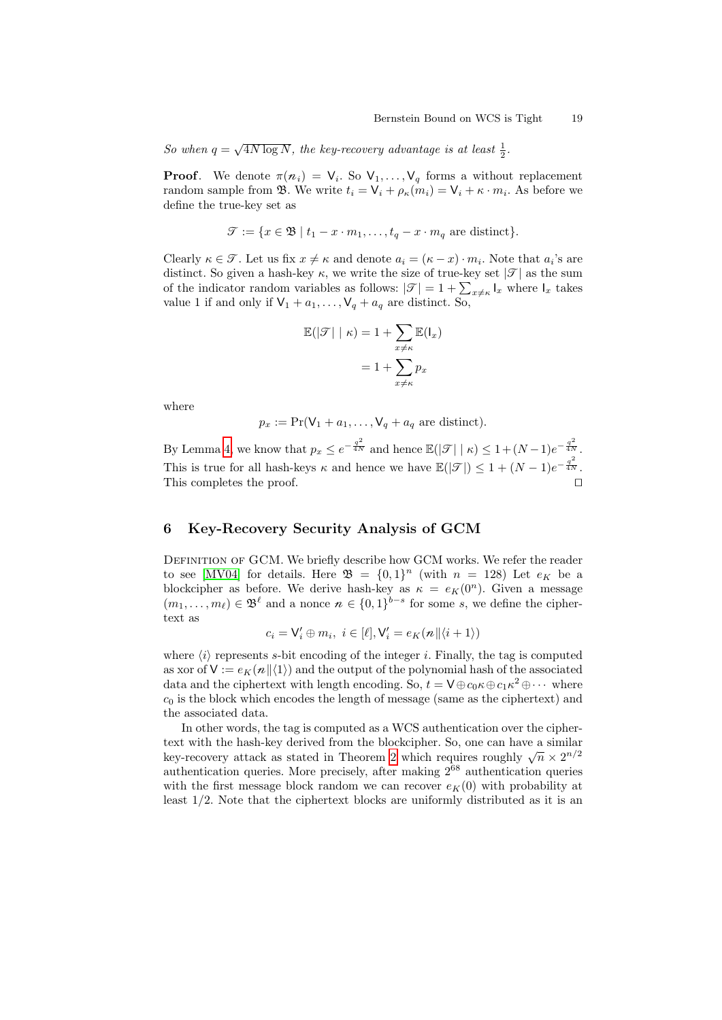So when  $q = \sqrt{4N \log N}$ , the key-recovery advantage is at least  $\frac{1}{2}$ .

**Proof.** We denote  $\pi(n_i) = V_i$ . So  $V_1, \ldots, V_q$  forms a without replacement random sample from  $\mathfrak{B}$ . We write  $t_i = \mathsf{V}_i + \rho_{\kappa}(m_i) = \mathsf{V}_i + \kappa \cdot m_i$ . As before we define the true-key set as

$$
\mathcal{T} := \{ x \in \mathfrak{B} \mid t_1 - x \cdot m_1, \dots, t_q - x \cdot m_q \text{ are distinct} \}.
$$

Clearly  $\kappa \in \mathcal{T}$ . Let us fix  $x \neq \kappa$  and denote  $a_i = (\kappa - x) \cdot m_i$ . Note that  $a_i$ 's are distinct. So given a hash-key  $\kappa$ , we write the size of true-key set  $|\mathcal{T}|$  as the sum of the indicator random variables as follows:  $|\mathcal{T}| = 1 + \sum_{x \neq \kappa} I_x$  where  $I_x$  takes value 1 if and only if  $\mathsf{V}_1 + a_1, \ldots, \mathsf{V}_q + a_q$  are distinct. So,

$$
\mathbb{E}(|\mathcal{F}| \mid \kappa) = 1 + \sum_{x \neq \kappa} \mathbb{E}(\mathbf{I}_x)
$$

$$
= 1 + \sum_{x \neq \kappa} p_x
$$

where

$$
p_x := \Pr(\mathsf{V}_1 + a_1, \dots, \mathsf{V}_q + a_q \text{ are distinct}).
$$

By Lemma [4,](#page-16-0) we know that  $p_x \leq e^{-\frac{q^2}{4N}}$  and hence  $\mathbb{E}(|\mathcal{T}| \mid \kappa) \leq 1 + (N-1)e^{-\frac{q^2}{4N}}$ . This is true for all hash-keys  $\kappa$  and hence we have  $\mathbb{E}(|\mathcal{T}|) \leq 1 + (N-1)e^{-\frac{q^2}{4N}}$ . This completes the proof.

# 6 Key-Recovery Security Analysis of GCM

DEFINITION OF GCM. We briefly describe how GCM works. We refer the reader to see [\[MV04\]](#page-24-5) for details. Here  $\mathfrak{B} = \{0,1\}^n$  (with  $n = 128$ ) Let  $e_K$  be a blockcipher as before. We derive hash-key as  $\kappa = e_K(0^n)$ . Given a message  $(m_1, \ldots, m_\ell) \in \mathfrak{B}^\ell$  and a nonce  $n \in \{0, 1\}^{b-s}$  for some s, we define the ciphertext as

$$
c_i = \mathsf{V}'_i \oplus m_i, \ i \in [\ell], \mathsf{V}'_i = e_K(n || \langle i + 1 \rangle)
$$

where  $\langle i \rangle$  represents s-bit encoding of the integer i. Finally, the tag is computed as xor of  $V := e_K(n||\langle 1 \rangle)$  and the output of the polynomial hash of the associated data and the ciphertext with length encoding. So,  $t = \mathsf{V} \oplus c_0 \kappa \oplus c_1 \kappa^2 \oplus \cdots$  where  $c_0$  is the block which encodes the length of message (same as the ciphertext) and the associated data.

In other words, the tag is computed as a WCS authentication over the ciphertext with the hash-key derived from the blockcipher. So, one can have a similar Lext with the hash-key derived from the blockcipher. So, one can have a similar key-recovery attack as stated in Theorem [2](#page-15-1) which requires roughly  $\sqrt{n} \times 2^{n/2}$ authentication queries. More precisely, after making  $2^{68}$  authentication queries with the first message block random we can recover  $e_K(0)$  with probability at least 1/2. Note that the ciphertext blocks are uniformly distributed as it is an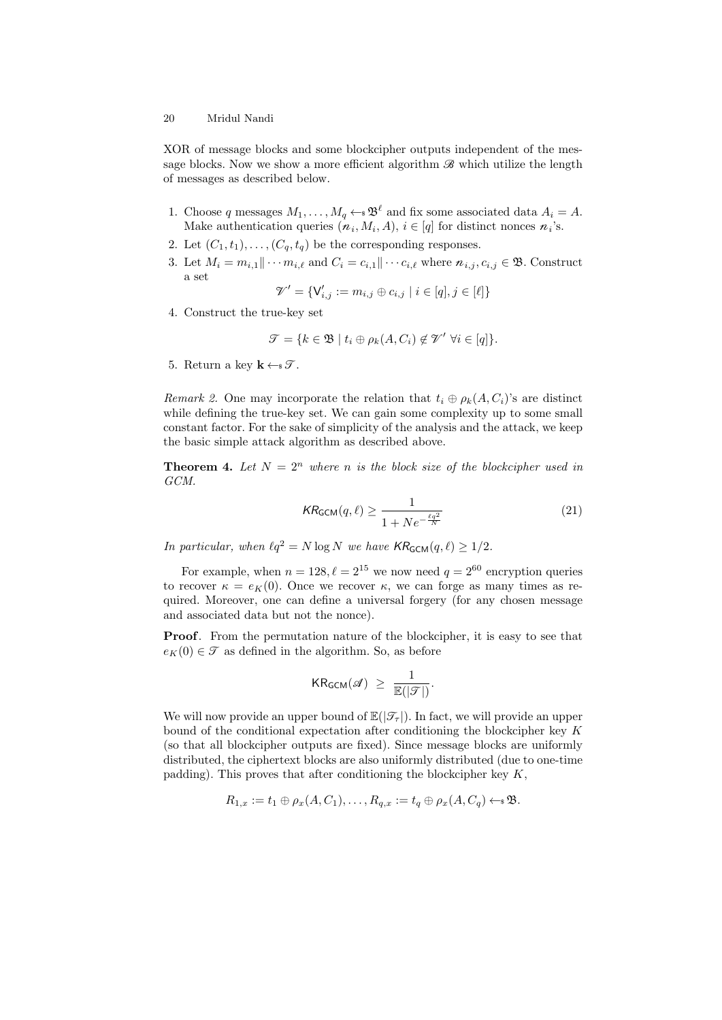XOR of message blocks and some blockcipher outputs independent of the message blocks. Now we show a more efficient algorithm  $\mathcal{B}$  which utilize the length of messages as described below.

- 1. Choose q messages  $M_1, \ldots, M_q \leftarrow \mathcal{B}^{\ell}$  and fix some associated data  $A_i = A$ . Make authentication queries  $(n_i, M_i, A), i \in [q]$  for distinct nonces  $n_i$ 's.
- 2. Let  $(C_1, t_1), \ldots, (C_q, t_q)$  be the corresponding responses.
- 3. Let  $M_i = m_{i,1} || \cdots m_{i,\ell}$  and  $C_i = c_{i,1} || \cdots c_{i,\ell}$  where  $n_{i,j}, c_{i,j} \in \mathfrak{B}$ . Construct a set

$$
\mathcal{V}' = \{ \mathsf{V}'_{i,j} := m_{i,j} \oplus c_{i,j} \mid i \in [q], j \in [\ell] \}
$$

4. Construct the true-key set

$$
\mathcal{T} = \{k \in \mathfrak{B} \mid t_i \oplus \rho_k(A, C_i) \notin \mathcal{V}' \ \forall i \in [q] \}.
$$

5. Return a key  $\mathbf{k} \leftarrow \mathcal{F}$ .

Remark 2. One may incorporate the relation that  $t_i \oplus \rho_k(A, C_i)$ 's are distinct while defining the true-key set. We can gain some complexity up to some small constant factor. For the sake of simplicity of the analysis and the attack, we keep the basic simple attack algorithm as described above.

**Theorem 4.** Let  $N = 2^n$  where n is the block size of the blockcipher used in GCM.

$$
KR_{GCM}(q,\ell) \ge \frac{1}{1 + Ne^{-\frac{\ell q^2}{N}}}
$$
\n(21)

In particular, when  $\ell q^2 = N \log N$  we have  $\mathsf{KR}_{\mathsf{GCM}}(q, \ell) \geq 1/2$ .

For example, when  $n = 128, \ell = 2^{15}$  we now need  $q = 2^{60}$  encryption queries to recover  $\kappa = e_K(0)$ . Once we recover  $\kappa$ , we can forge as many times as required. Moreover, one can define a universal forgery (for any chosen message and associated data but not the nonce).

Proof. From the permutation nature of the blockcipher, it is easy to see that  $e_K(0) \in \mathcal{T}$  as defined in the algorithm. So, as before

$$
\mathsf{KR}_{\mathsf{GCM}}(\mathscr{A}) \ \geq \ \frac{1}{\mathbb{E}(|\mathscr{T}|)}.
$$

We will now provide an upper bound of  $\mathbb{E}(|\mathcal{T}_{\tau}|)$ . In fact, we will provide an upper bound of the conditional expectation after conditioning the blockcipher key  $K$ (so that all blockcipher outputs are fixed). Since message blocks are uniformly distributed, the ciphertext blocks are also uniformly distributed (due to one-time padding). This proves that after conditioning the blockcipher key  $K$ ,

$$
R_{1,x} := t_1 \oplus \rho_x(A,C_1), \ldots, R_{q,x} := t_q \oplus \rho_x(A,C_q) \leftarrow \mathcal{B}.
$$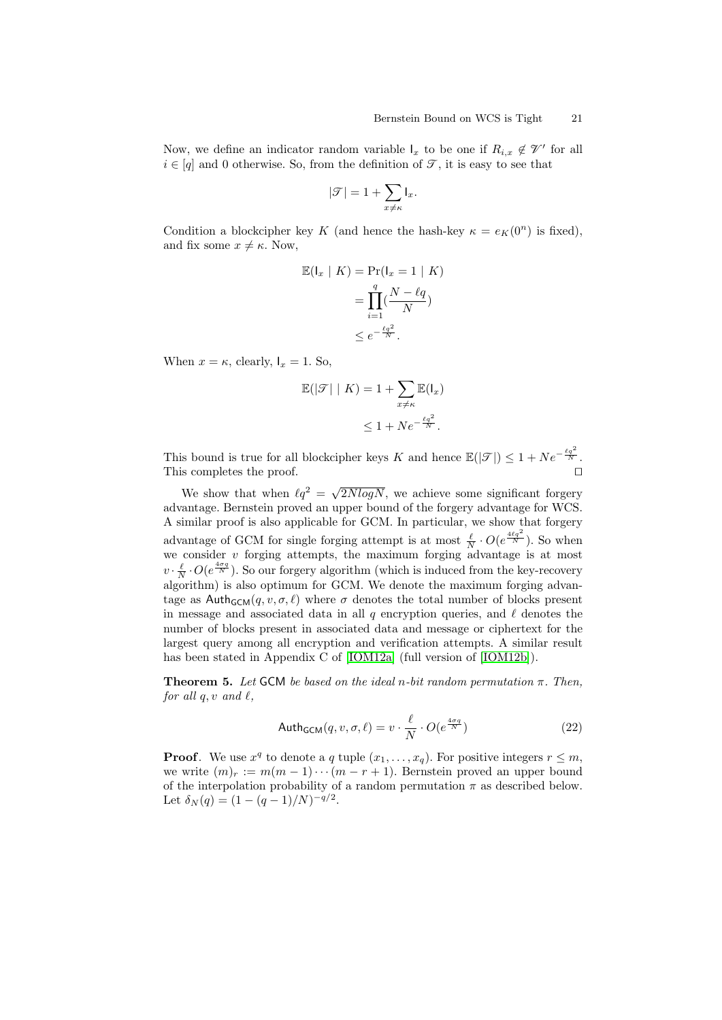Now, we define an indicator random variable  $I_x$  to be one if  $R_{i,x} \notin \mathcal{V}'$  for all  $i \in [q]$  and 0 otherwise. So, from the definition of  $\mathcal{T}$ , it is easy to see that

$$
|\mathcal{T}| = 1 + \sum_{x \neq \kappa} \mathbf{I}_x.
$$

Condition a blockcipher key K (and hence the hash-key  $\kappa = e_K(0^n)$  is fixed), and fix some  $x \neq \kappa$ . Now,

$$
\mathbb{E}(\mathsf{I}_x \mid K) = \Pr(\mathsf{I}_x = 1 \mid K)
$$

$$
= \prod_{i=1}^q (\frac{N - \ell q}{N})
$$

$$
\leq e^{-\frac{\ell q^2}{N}}.
$$

When  $x = \kappa$ , clearly,  $I_x = 1$ . So,

$$
\mathbb{E}(|\mathcal{T}| \mid K) = 1 + \sum_{x \neq \kappa} \mathbb{E}(\mathbf{l}_x)
$$
  

$$
\leq 1 + N e^{-\frac{\ell q^2}{N}}.
$$

This bound is true for all blockcipher keys K and hence  $\mathbb{E}(|\mathcal{T}|) \leq 1 + Ne^{-\frac{\ell q^2}{N}}$ . This completes the proof.  $\Box$ 

We show that when  $\ell q^2 = \sqrt{2NlogN}$ , we achieve some significant forgery advantage. Bernstein proved an upper bound of the forgery advantage for WCS. A similar proof is also applicable for GCM. In particular, we show that forgery advantage of GCM for single forging attempt is at most  $\frac{\ell}{N} \cdot O(e^{\frac{4\ell q^2}{N}})$ . So when we consider  $v$  forging attempts, the maximum forging advantage is at most  $v \cdot \frac{\ell}{N} \cdot O(e^{\frac{4\sigma q}{N}})$ . So our forgery algorithm (which is induced from the key-recovery algorithm) is also optimum for GCM. We denote the maximum forging advantage as  $\text{Auth}_{\text{GCM}}(q, v, \sigma, \ell)$  where  $\sigma$  denotes the total number of blocks present in message and associated data in all q encryption queries, and  $\ell$  denotes the number of blocks present in associated data and message or ciphertext for the largest query among all encryption and verification attempts. A similar result has been stated in Appendix C of [\[IOM12a\]](#page-24-16) (full version of [\[IOM12b\]](#page-24-17)).

**Theorem 5.** Let GCM be based on the ideal n-bit random permutation π. Then, for all  $q, v$  and  $\ell$ ,

$$
\mathsf{Auth_{GCM}}(q, v, \sigma, \ell) = v \cdot \frac{\ell}{N} \cdot O(e^{\frac{4\sigma q}{N}})
$$
\n(22)

**Proof.** We use  $x^q$  to denote a q tuple  $(x_1, \ldots, x_q)$ . For positive integers  $r \leq m$ , we write  $(m)_r := m(m-1)\cdots(m-r+1)$ . Bernstein proved an upper bound of the interpolation probability of a random permutation  $\pi$  as described below. Let  $\delta_N(q) = (1 - (q-1)/N)^{-q/2}$ .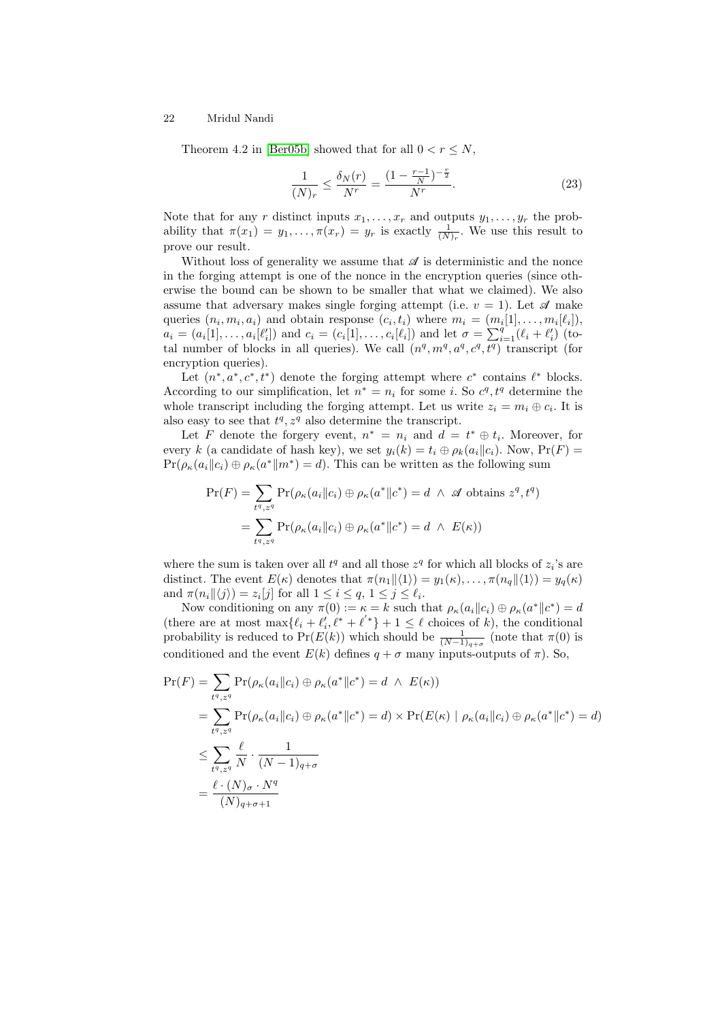Theorem 4.2 in [\[Ber05b\]](#page-23-9) showed that for all  $0 < r \leq N$ ,

<span id="page-21-0"></span>
$$
\frac{1}{(N)_r} \le \frac{\delta_N(r)}{N^r} = \frac{(1 - \frac{r-1}{N})^{-\frac{r}{2}}}{N^r}.
$$
\n(23)

Note that for any r distinct inputs  $x_1, \ldots, x_r$  and outputs  $y_1, \ldots, y_r$  the probability that  $\pi(x_1) = y_1, \ldots, \pi(x_r) = y_r$  is exactly  $\frac{1}{(N)_r}$ . We use this result to prove our result.

Without loss of generality we assume that  $\mathscr A$  is deterministic and the nonce in the forging attempt is one of the nonce in the encryption queries (since otherwise the bound can be shown to be smaller that what we claimed). We also assume that adversary makes single forging attempt (i.e.  $v = 1$ ). Let  $\mathscr A$  make queries  $(n_i, m_i, a_i)$  and obtain response  $(c_i, t_i)$  where  $m_i = (m_i[1], \ldots, m_i[\ell_i]),$  $a_i = (a_i[1], \ldots, a_i[\ell'_i])$  and  $c_i = (c_i[1], \ldots, c_i[\ell_i])$  and let  $\sigma = \sum_{i=1}^q (\ell_i + \ell'_i)$  (total number of blocks in all queries). We call  $(n<sup>q</sup>, m<sup>q</sup>, a<sup>q</sup>, c<sup>q</sup>, t<sup>q</sup>)$  transcript (for encryption queries).

Let  $(n^*, a^*, c^*, t^*)$  denote the forging attempt where  $c^*$  contains  $\ell^*$  blocks. According to our simplification, let  $n^* = n_i$  for some *i*. So  $c^q$ ,  $t^q$  determine the whole transcript including the forging attempt. Let us write  $z_i = m_i \oplus c_i$ . It is also easy to see that  $t^q$ ,  $z^q$  also determine the transcript.

Let F denote the forgery event,  $n^* = n_i$  and  $d = t^* \oplus t_i$ . Moreover, for every k (a candidate of hash key), we set  $y_i(k) = t_i \oplus \rho_k(a_i||c_i)$ . Now,  $Pr(F) =$  $Pr(\rho_{\kappa}(a_i||c_i) \oplus \rho_{\kappa}(a^*||m^*) = d)$ . This can be written as the following sum

$$
\Pr(F) = \sum_{t^q, z^q} \Pr(\rho_{\kappa}(a_i \| c_i) \oplus \rho_{\kappa}(a^* \| c^*) = d \ \land \ \mathcal{A} \text{ obtains } z^q, t^q)
$$

$$
= \sum_{t^q, z^q} \Pr(\rho_{\kappa}(a_i \| c_i) \oplus \rho_{\kappa}(a^* \| c^*) = d \ \land \ E(\kappa))
$$

where the sum is taken over all  $t^q$  and all those  $z^q$  for which all blocks of  $z_i$ 's are distinct. The event  $E(\kappa)$  denotes that  $\pi(n_1||\langle 1\rangle) = y_1(\kappa), \ldots, \pi(n_q||\langle 1\rangle) = y_q(\kappa)$ and  $\pi(n_i \| \langle j \rangle) = z_i[j]$  for all  $1 \leq i \leq q, 1 \leq j \leq \ell_i$ .

Now conditioning on any  $\pi(0) := \kappa = k$  such that  $\rho_{\kappa}(a_i || c_i) \oplus \rho_{\kappa}(a^* || c^*) = d$ (there are at most  $\max\{\ell_i + \ell'_i, \ell^* + \ell'^*\} + 1 \leq \ell$  choices of k), the conditional probability is reduced to Pr( $E(k)$ ) which should be  $\frac{1}{(N-1)_{q+\sigma}}$  (note that  $\pi(0)$  is conditioned and the event  $E(k)$  defines  $q + \sigma$  many inputs-outputs of  $\pi$ ). So,

$$
\Pr(F) = \sum_{t^q, z^q} \Pr(\rho_{\kappa}(a_i \| c_i) \oplus \rho_{\kappa}(a^* \| c^*) = d \ \land \ E(\kappa))
$$
  
\n
$$
= \sum_{t^q, z^q} \Pr(\rho_{\kappa}(a_i \| c_i) \oplus \rho_{\kappa}(a^* \| c^*) = d) \times \Pr(E(\kappa) \mid \rho_{\kappa}(a_i \| c_i) \oplus \rho_{\kappa}(a^* \| c^*) = d)
$$
  
\n
$$
\leq \sum_{t^q, z^q} \frac{\ell}{N} \cdot \frac{1}{(N-1)_{q+\sigma}}
$$
  
\n
$$
= \frac{\ell \cdot (N)_{\sigma} \cdot N^q}{(N)_{q+\sigma+1}}
$$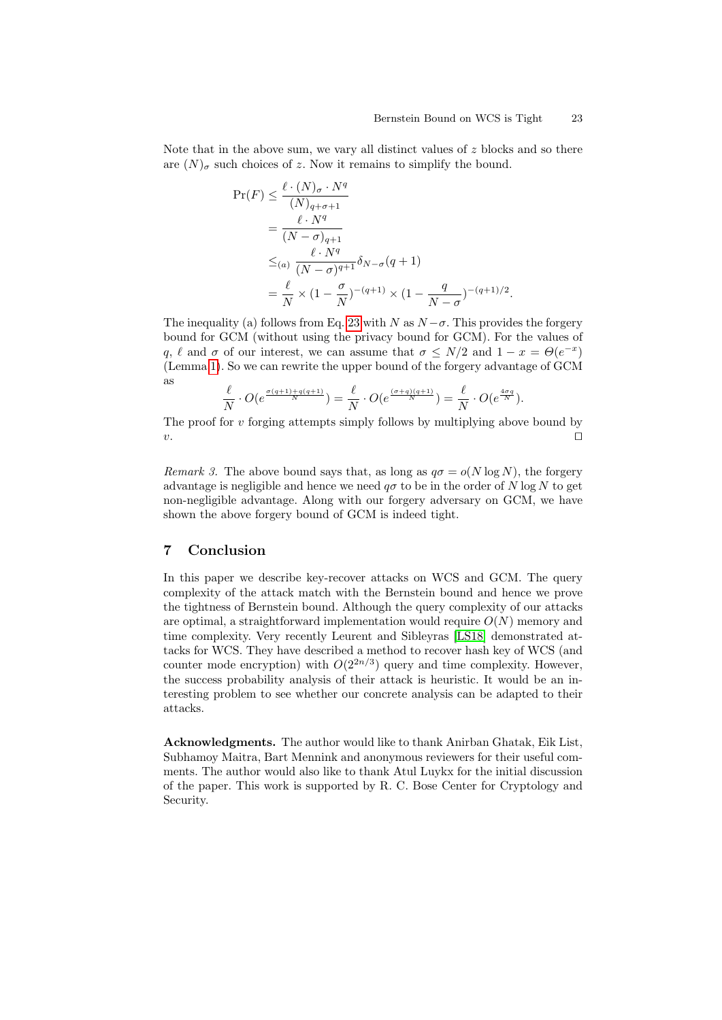Note that in the above sum, we vary all distinct values of  $z$  blocks and so there are  $(N)_{\sigma}$  such choices of z. Now it remains to simplify the bound.

$$
\Pr(F) \le \frac{\ell \cdot (N)_{\sigma} \cdot N^q}{(N)_{q+\sigma+1}}
$$
  
= 
$$
\frac{\ell \cdot N^q}{(N-\sigma)_{q+1}}
$$
  

$$
\le_{(a)} \frac{\ell \cdot N^q}{(N-\sigma)^{q+1}} \delta_{N-\sigma}(q+1)
$$
  
= 
$$
\frac{\ell}{N} \times (1-\frac{\sigma}{N})^{-(q+1)} \times (1-\frac{q}{N-\sigma})^{-(q+1)/2}.
$$

The inequality (a) follows from Eq. [23](#page-21-0) with N as  $N - \sigma$ . This provides the forgery bound for GCM (without using the privacy bound for GCM). For the values of q,  $\ell$  and  $\sigma$  of our interest, we can assume that  $\sigma \leq N/2$  and  $1 - x = \Theta(e^{-x})$ (Lemma [1\)](#page-5-0). So we can rewrite the upper bound of the forgery advantage of GCM as

$$
\frac{\ell}{N} \cdot O(e^{\frac{\sigma(q+1)+q(q+1)}{N}}) = \frac{\ell}{N} \cdot O(e^{\frac{(\sigma+q)(q+1)}{N}}) = \frac{\ell}{N} \cdot O(e^{\frac{4\sigma q}{N}}).
$$

The proof for  $v$  forging attempts simply follows by multiplying above bound by  $v.$ 

Remark 3. The above bound says that, as long as  $q\sigma = o(N \log N)$ , the forgery advantage is negligible and hence we need  $q\sigma$  to be in the order of N log N to get non-negligible advantage. Along with our forgery adversary on GCM, we have shown the above forgery bound of GCM is indeed tight.

# 7 Conclusion

In this paper we describe key-recover attacks on WCS and GCM. The query complexity of the attack match with the Bernstein bound and hence we prove the tightness of Bernstein bound. Although the query complexity of our attacks are optimal, a straightforward implementation would require  $O(N)$  memory and time complexity. Very recently Leurent and Sibleyras [\[LS18\]](#page-24-18) demonstrated attacks for WCS. They have described a method to recover hash key of WCS (and counter mode encryption) with  $O(2^{2n/3})$  query and time complexity. However, the success probability analysis of their attack is heuristic. It would be an interesting problem to see whether our concrete analysis can be adapted to their attacks.

Acknowledgments. The author would like to thank Anirban Ghatak, Eik List, Subhamoy Maitra, Bart Mennink and anonymous reviewers for their useful comments. The author would also like to thank Atul Luykx for the initial discussion of the paper. This work is supported by R. C. Bose Center for Cryptology and Security.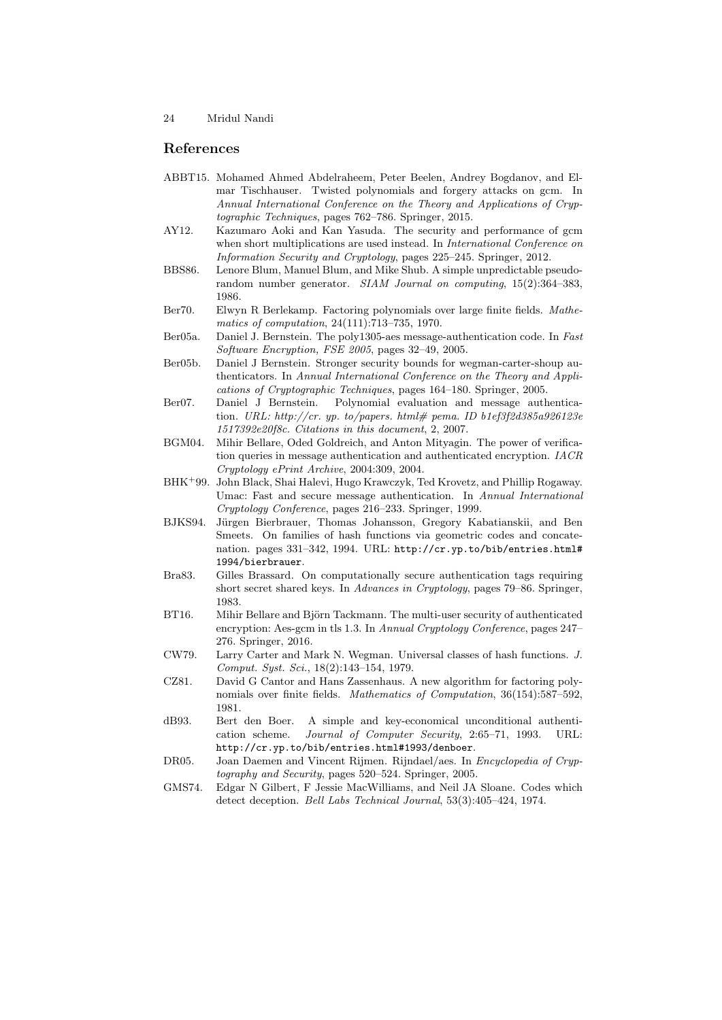## References

- <span id="page-23-12"></span>ABBT15. Mohamed Ahmed Abdelraheem, Peter Beelen, Andrey Bogdanov, and Elmar Tischhauser. Twisted polynomials and forgery attacks on gcm. In Annual International Conference on the Theory and Applications of Cryptographic Techniques, pages 762–786. Springer, 2015.
- <span id="page-23-10"></span>AY12. Kazumaro Aoki and Kan Yasuda. The security and performance of gcm when short multiplications are used instead. In *International Conference on* Information Security and Cryptology, pages 225–245. Springer, 2012.
- <span id="page-23-8"></span>BBS86. Lenore Blum, Manuel Blum, and Mike Shub. A simple unpredictable pseudorandom number generator. SIAM Journal on computing, 15(2):364–383, 1986.
- <span id="page-23-15"></span>Ber70. Elwyn R Berlekamp. Factoring polynomials over large finite fields. Mathematics of computation, 24(111):713–735, 1970.
- <span id="page-23-4"></span>Ber05a. Daniel J. Bernstein. The poly1305-aes message-authentication code. In Fast Software Encryption, FSE 2005, pages 32–49, 2005.
- <span id="page-23-9"></span>Ber05b. Daniel J Bernstein. Stronger security bounds for wegman-carter-shoup authenticators. In Annual International Conference on the Theory and Applications of Cryptographic Techniques, pages 164–180. Springer, 2005.
- <span id="page-23-6"></span>Ber07. Daniel J Bernstein. Polynomial evaluation and message authentication. URL: http://cr. yp. to/papers. html# pema. ID b1ef3f2d385a926123e 1517392e20f8c. Citations in this document, 2, 2007.
- <span id="page-23-13"></span>BGM04. Mihir Bellare, Oded Goldreich, and Anton Mityagin. The power of verification queries in message authentication and authenticated encryption. IACR Cryptology ePrint Archive, 2004:309, 2004.
- <span id="page-23-5"></span>BHK<sup>+</sup>99. John Black, Shai Halevi, Hugo Krawczyk, Ted Krovetz, and Phillip Rogaway. Umac: Fast and secure message authentication. In Annual International Cryptology Conference, pages 216–233. Springer, 1999.
- <span id="page-23-3"></span>BJKS94. Jürgen Bierbrauer, Thomas Johansson, Gregory Kabatianskii, and Ben Smeets. On families of hash functions via geometric codes and concatenation. pages 331–342, 1994. URL: http://cr.yp.to/bib/entries.html# 1994/bierbrauer.
- <span id="page-23-7"></span>Bra83. Gilles Brassard. On computationally secure authentication tags requiring short secret shared keys. In Advances in Cryptology, pages 79–86. Springer, 1983.
- <span id="page-23-11"></span>BT16. Mihir Bellare and Björn Tackmann. The multi-user security of authenticated encryption: Aes-gcm in tls 1.3. In Annual Cryptology Conference, pages 247– 276. Springer, 2016.
- <span id="page-23-1"></span>CW79. Larry Carter and Mark N. Wegman. Universal classes of hash functions. J. Comput. Syst. Sci., 18(2):143–154, 1979.
- <span id="page-23-16"></span>CZ81. David G Cantor and Hans Zassenhaus. A new algorithm for factoring polynomials over finite fields. Mathematics of Computation, 36(154):587–592, 1981.
- <span id="page-23-2"></span>dB93. Bert den Boer. A simple and key-economical unconditional authentication scheme. Journal of Computer Security, 2:65–71, 1993. URL: http://cr.yp.to/bib/entries.html#1993/denboer.
- <span id="page-23-14"></span>DR05. Joan Daemen and Vincent Rijmen. Rijndael/aes. In Encyclopedia of Cryptography and Security, pages 520–524. Springer, 2005.
- <span id="page-23-0"></span>GMS74. Edgar N Gilbert, F Jessie MacWilliams, and Neil JA Sloane. Codes which detect deception. Bell Labs Technical Journal, 53(3):405–424, 1974.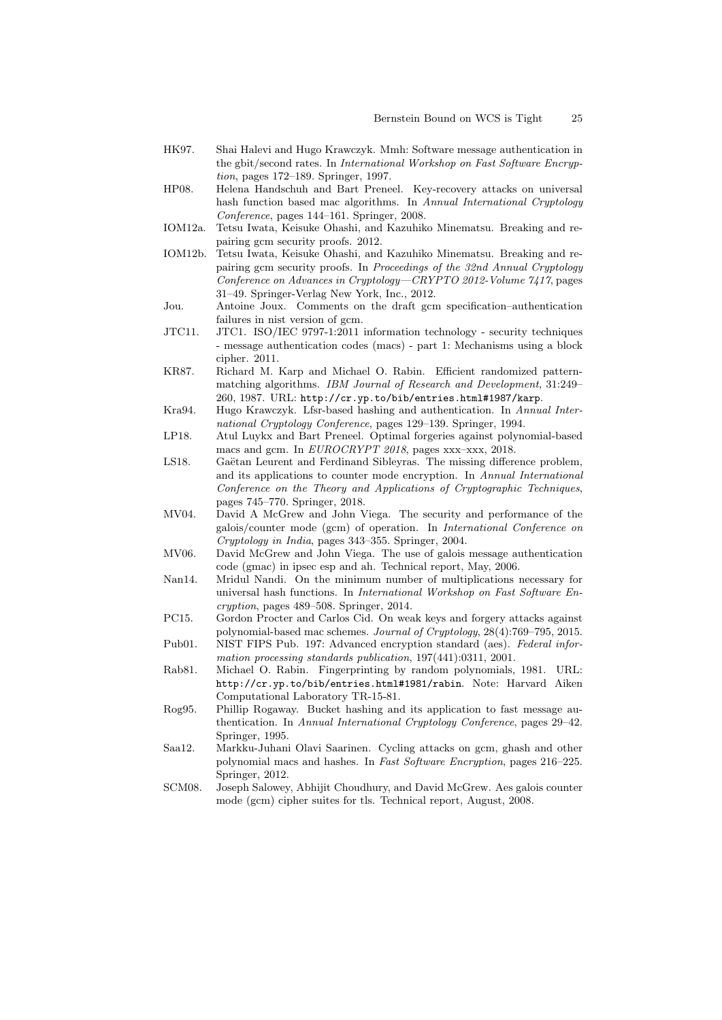- <span id="page-24-4"></span>HK97. Shai Halevi and Hugo Krawczyk. Mmh: Software message authentication in the gbit/second rates. In International Workshop on Fast Software Encryption, pages 172–189. Springer, 1997.
- <span id="page-24-11"></span>HP08. Helena Handschuh and Bart Preneel. Key-recovery attacks on universal hash function based mac algorithms. In Annual International Cryptology Conference, pages 144–161. Springer, 2008.
- <span id="page-24-16"></span>IOM12a. Tetsu Iwata, Keisuke Ohashi, and Kazuhiko Minematsu. Breaking and repairing gcm security proofs. 2012.
- <span id="page-24-17"></span>IOM12b. Tetsu Iwata, Keisuke Ohashi, and Kazuhiko Minematsu. Breaking and repairing gcm security proofs. In Proceedings of the 32nd Annual Cryptology Conference on Advances in Cryptology—CRYPTO 2012-Volume 7417, pages 31–49. Springer-Verlag New York, Inc., 2012.
- <span id="page-24-10"></span>Jou. Antoine Joux. Comments on the draft gcm specification–authentication failures in nist version of gcm.
- <span id="page-24-8"></span>JTC11. JTC1. ISO/IEC 9797-1:2011 information technology - security techniques - message authentication codes (macs) - part 1: Mechanisms using a block cipher. 2011.
- <span id="page-24-2"></span>KR87. Richard M. Karp and Michael O. Rabin. Efficient randomized patternmatching algorithms. *IBM Journal of Research and Development*, 31:249– 260, 1987. URL: http://cr.yp.to/bib/entries.html#1987/karp.
- <span id="page-24-0"></span>Kra94. Hugo Krawczyk. Lfsr-based hashing and authentication. In Annual International Cryptology Conference, pages 129–139. Springer, 1994.
- <span id="page-24-14"></span>LP18. Atul Luykx and Bart Preneel. Optimal forgeries against polynomial-based macs and gcm. In EUROCRYPT 2018, pages xxx–xxx, 2018.
- <span id="page-24-18"></span>LS18. Gaëtan Leurent and Ferdinand Sibleyras. The missing difference problem, and its applications to counter mode encryption. In Annual International Conference on the Theory and Applications of Cryptographic Techniques, pages 745–770. Springer, 2018.
- <span id="page-24-5"></span>MV04. David A McGrew and John Viega. The security and performance of the galois/counter mode (gcm) of operation. In International Conference on Cryptology in India, pages 343–355. Springer, 2004.
- <span id="page-24-7"></span>MV06. David McGrew and John Viega. The use of galois message authentication code (gmac) in ipsec esp and ah. Technical report, May, 2006.
- <span id="page-24-6"></span>Nan14. Mridul Nandi. On the minimum number of multiplications necessary for universal hash functions. In International Workshop on Fast Software Encryption, pages 489–508. Springer, 2014.
- <span id="page-24-12"></span>PC15. Gordon Procter and Carlos Cid. On weak keys and forgery attacks against polynomial-based mac schemes. Journal of Cryptology, 28(4):769–795, 2015.
- <span id="page-24-15"></span>Pub01. NIST FIPS Pub. 197: Advanced encryption standard (aes). Federal information processing standards publication, 197(441):0311, 2001.
- <span id="page-24-3"></span>Rab81. Michael O. Rabin. Fingerprinting by random polynomials, 1981. URL: http://cr.yp.to/bib/entries.html#1981/rabin. Note: Harvard Aiken Computational Laboratory TR-15-81.
- <span id="page-24-1"></span>Rog95. Phillip Rogaway. Bucket hashing and its application to fast message authentication. In Annual International Cryptology Conference, pages 29–42. Springer, 1995.
- <span id="page-24-13"></span>Saa12. Markku-Juhani Olavi Saarinen. Cycling attacks on gcm, ghash and other polynomial macs and hashes. In Fast Software Encryption, pages 216–225. Springer, 2012.
- <span id="page-24-9"></span>SCM08. Joseph Salowey, Abhijit Choudhury, and David McGrew. Aes galois counter mode (gcm) cipher suites for tls. Technical report, August, 2008.